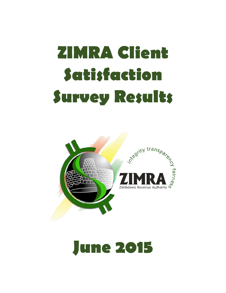# **ZIMRA Client Satisfaction Survey Results**



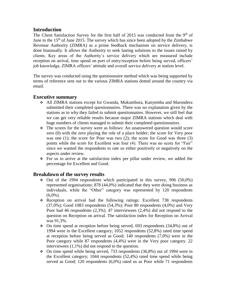# **Introduction**

The Client Satisfaction Survey for the first half of 2015 was conducted from the  $9<sup>th</sup>$  of June to the  $15<sup>th</sup>$  of June 2015. The survey which has since been adopted by the Zimbabwe Revenue Authority (ZIMRA) as a prime feedback mechanism on service delivery, is done biannually. It allows the Authority to seek lasting solutions to the issues raised by clients. Key areas of the Authority's service delivery which are measured include reception on arrival, time spend on port of entry/reception before being served, officers' job knowledge, ZIMRA officers' attitude and overall service delivery at station level.

The survey was conducted using the questionnaire method which was being supported by terms of reference sent out to the various ZIMRA stations dotted around the country via email.

# **Executive summary**

- All ZIMRA stations except for Gwanda, Mukumbura, Kanyemba and Marondera submitted their completed questionnaires. There was no explanation given by the stations as to why they failed to submit questionnaires. However, we still feel that we can get very reliable results because major ZIMRA stations which deal with huge numbers of clients managed to submit their completed questionnaires.
- The scores for the survey were as follows: An unanswered question would score zero (0) with the zero playing the role of a place holder; the score for Very poor was one  $(1)$ ; the score for Poor was two  $(2)$ ; the score for Good was three  $(3)$ points while the score for Excellent was four (4). There was no score for "Fair" since we wanted the respondents to rate us either positively or negatively on the aspects under review.
- For us to arrive at the satisfaction index per pillar under review, we added the percentage for Excellent and Good.

# **Breakdown of the survey results**

- $\div$  Out of the 1994 respondents which participated in this survey, 996 (50,0%) represented organisations; 878 (44,0%) indicated that they were doing business as individuals, while the "Other" category was represented by 120 respondents  $(6,0\%)$ .
- $\div$  Reception on arrival had the following ratings: Excellent 738 respondents  $(37,0\%)$ ; Good 1083 respondents  $(54,3\%)$ ; Poor 80 respondents  $(4,0\%)$  and Very Poor had 46 respondents (2,3%). 47 interviewees (2,4%) did not respond to the question on Reception on arrival. The satisfaction index for Reception on Arrival was 91,3%.
- On time spend at reception before being served, 693 respondents (34,8%) out of 1994 were in the Excellent category; 1052 respondents (52,8%) rated time spend at reception before being served as Good; 140 respondents (7,0%) were in the Poor category while 87 respondents (4,4%) were in the Very poor category. 22 interviewees (1,1%) did not respond to the question.
- $\div$  On time spend while being served, 733 respondents (36,8%) out of 1994 were in the Excellent category; 1044 respondents (52,4%) rated time spend while being served as Good; 120 respondents (6,0%) rated us as Poor while 71 respondents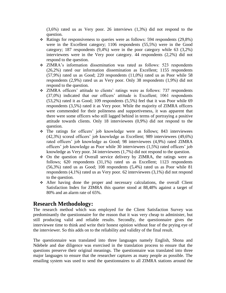(3,6%) rated us as Very poor. 26 interviews (1,3%) did not respond to the question.

- $\div$  Ratings for responsiveness to queries were as follows: 594 respondents (29,8%) were in the Excellent category; 1106 respondents (55,5%) were in the Good category; 187 respondents (9,4%) were in the poor category while 63 (3,2%) interviewees were in the Very poor category. 44 respondents (2,2%) did not respond to the question.
- ZIMRA's information dissemination was rated as follows: 523 respondents (26,2%) rated our information dissemination as Excellent; 1155 respondents (57,9%) rated us as Good; 220 respondents (11,0%) rated us as Poor while 58 respondents (2,9%) rated us as Very poor. Only 38 respondents (1,9%) did not respond to the question.
- ZIMRA officers' attitude to clients' ratings were as follows: 737 respondents (37,0%) indicated that our officers' attitude is Excellent; 1061 respondents (53,2%) rated it as Good; 109 respondents (5,5%) feel that it was Poor while 69 respondents (3,5%) rated it as Very poor. While the majority of ZIMRA officers were commended for their politeness and supportiveness, it was apparent that there were some officers who still lagged behind in terms of portraying a positive attitude towards clients. Only 18 interviewees (0,9%) did not respond to the question.
- The ratings for officers' job knowledge were as follows; 843 interviewees (42,3%) scored officers' job knowledge as Excellent; 989 interviewees (49,6%) rated officers' job knowledge as Good; 98 interviewees (4,9%) rated ZIMRA officers' job knowledge as Poor while 30 interviewees (1,5%) rated officers' job knowledge as Very poor. 34 interviewees (1,7%) did not respond to the question.
- On the question of Overall service delivery by ZIMRA, the ratings were as follows; 620 respondents (31,1%) rated us as Excellent; 1123 respondents (56,3%) rated us as Good; 108 respondents (5,4%) rated us as Poor while 81 respondents (4,1%) rated us as Very poor. 62 interviewees (3,1%) did not respond to the question.
- After having done the proper and necessary calculations, the overall Client Satisfaction Index for ZIMRA this quarter stood at 88,48% against a target of 80% and an alarm rate of 65%.

# **Research Methodology:**

The research method which was employed for the Client Satisfaction Survey was predominantly the questionnaire for the reason that it was very cheap to administer, but still producing valid and reliable results. Secondly, the questionnaire gives the interviewee time to think and write their honest opinion without fear of the prying eye of the interviewer. So this adds on to the reliability and validity of the final result.

The questionnaire was translated into three languages namely English, Shona and Ndebele and due diligence was exercised in the translation process to ensure that the questions preserve their original meanings. The questionnaire was translated into three major languages to ensure that the researcher captures as many people as possible. The emailing system was used to send the questionnaires to all ZIMRA stations around the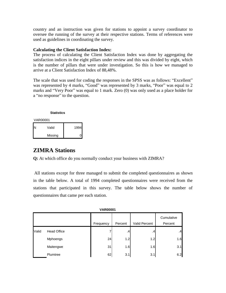country and an instruction was given for stations to appoint a survey coordinator to oversee the running of the survey at their respective stations. Terms of references were used as guidelines in coordinating the survey.

#### **Calculating the Client Satisfaction Index:**

The process of calculating the Client Satisfaction Index was done by aggregating the satisfaction indices in the eight pillars under review and this was divided by eight, which is the number of pillars that were under investigation. So this is how we managed to arrive at a Client Satisfaction Index of 88,48%.

The scale that was used for coding the responses in the SPSS was as follows: "Excellent" was represented by 4 marks, "Good" was represented by 3 marks, "Poor" was equal to 2 marks and "Very Poor" was equal to 1 mark. Zero (0) was only used as a place holder for a "no response" to the question.

#### **Statistics**

| VAR00001 |         |      |  |  |  |
|----------|---------|------|--|--|--|
|          | Valid   | 1994 |  |  |  |
|          | Missing |      |  |  |  |

# **ZIMRA Stations**

**Q:** At which office do you normally conduct your business with ZIMRA?

All stations except for three managed to submit the completed questionnaires as shown in the table below. A total of 1994 completed questionnaires were received from the stations that participated in this survey. The table below shows the number of questionnaires that came per each station.

|       | <b>VAR00001</b>    |           |         |               |                       |  |
|-------|--------------------|-----------|---------|---------------|-----------------------|--|
|       |                    | Frequency | Percent | Valid Percent | Cumulative<br>Percent |  |
| Valid | <b>Head Office</b> | 7         | $\cdot$ | .4            | .4                    |  |
|       | Mphoengs           | 24        | 1.2     | 1.2           | 1.6                   |  |
|       | Maitengwe          | 31        | 1.6     | 1.6           | 3.1                   |  |
|       | Plumtree           | 62        | 3.1     | 3.1           | 6.2                   |  |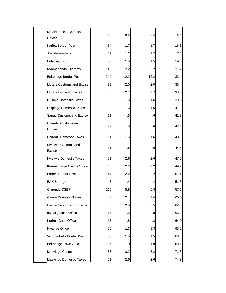| Mhlahlandlela Complex<br>Offices | 168 | 8.4               | 8.4  | 14.6 |
|----------------------------------|-----|-------------------|------|------|
| Kariba Border Post               | 34  | 1.7               | 1.7  | 16.3 |
| J.M Nkomo Airport                | 23  | 1.2               | 1.2  | 17.5 |
| <b>Bulawayo Port</b>             | 30  | 1.5               | 1.5  | 19.0 |
| Nyamapanda Customs               | 43  | 2.2               | 2.2  | 21.2 |
| Beitbridge Border Post           | 244 | 12.2              | 12.2 | 33.4 |
| Mutare Customs and Excise        | 39  | 2.0               | 2.0  | 35.4 |
| <b>Mutare Domestic Taxes</b>     | 53  | 2.7               | 2.7  | 38.0 |
| Rusape Domestic Taxes            | 32  | 1.6               | 1.6  | 39.6 |
| <b>Chipinge Domestic Taxes</b>   | 32  | 1.6               | 1.6  | 41.2 |
| Sango Customs and Excise         | 11  | .6                | .6   | 41.8 |
| Chiredzi Customs and<br>Excise   | 12  | .6                | .6   | 42.4 |
| <b>Chiredzi Domestic Taxes</b>   | 31  | 1.6               | 1.6  | 43.9 |
| Kwekwe Customs and<br>Excise     | 11  | .6                | .6   | 44.5 |
| <b>Kwekwe Domestic Taxes</b>     | 51  | 2.6               | 2.6  | 47.0 |
| Kurima Large Clients Office      | 43  | 2.2               | 2.2  | 49.2 |
| <b>Forbes Border Post</b>        | 44  | 2.2               | 2.2  | 51.4 |
| <b>BAK Storage</b>               | 8   | $\cdot$           | .4   | 51.8 |
| Chirundu OSBP                    | 115 | 5.8               | 5.8  | 57.6 |
| <b>Gweru Domestic Taxes</b>      | 48  | 2.4               | 2.4  | 60.0 |
| Gweru Customs and Excise         | 50  | 2.5               | 2.5  | 62.5 |
| <b>Investigations Office</b>     | 15  | $\boldsymbol{.8}$ | .8   | 63.2 |
| Kurima Cash Office               | 15  | .8                | .8   | 64.0 |
| Hwange Office                    | 25  | 1.3               | 1.3  | 65.2 |
| Victoria Falls Border Post       | 30  | 1.5               | 1.5  | 66.8 |
| Beitbridge Town Office           | 37  | 1.9               | 1.9  | 68.6 |
| Masvingo Customs                 | 63  | 3.2               | 3.2  | 71.8 |
| Masvingo Domestic Taxes          | 51  | 2.6               | 2.6  | 74.3 |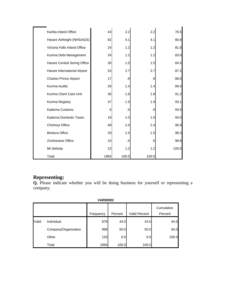| Kariba Inland Office          | 43   | 2.2   | 2.2    | 76.5  |
|-------------------------------|------|-------|--------|-------|
| Harare Airfreight (NHS/AGS)   | 82   | 4.1   | 4.1    | 80.6  |
| Victoria Falls Inland Office  | 24   | 1.2   | 1.2    | 81.8  |
| Kurima Debt Management        | 24   | 1.2   | 1.2    | 83.0  |
| Harare Central Soring Office  | 30   | 1.5   | 1.5    | 84.5  |
| Harare International Airport  | 53   | 2.7   | 2.7    | 87.2  |
| <b>Charles Prince Airport</b> | 17   | .9    | .9     | 88.0  |
| Kurima Audits                 | 28   | 1.4   | 1.4    | 89.4  |
| Kurima Client Care Unit       | 36   | 1.8   | 1.8    | 91.2  |
| Kurima Registry               | 37   | 1.9   | 1.9    | 93.1  |
| Kadoma Customs                | 9    | .5    | $.5\,$ | 93.5  |
| Kadoma Domestic Taxes         | 19   | 1.0   | 1.0    | 94.5  |
| Chinhoyi Office               | 48   | 2.4   | 2.4    | 96.9  |
| <b>Bindura Office</b>         | 29   | 1.5   | 1.5    | 98.3  |
| Zvishavane Office             | 10   | .5    | .5     | 98.8  |
| Mt Selinda                    | 23   | 1.2   | 1.2    | 100.0 |
| Total                         | 1994 | 100.0 | 100.0  |       |

# **Representing:**

**Q.** Please indicate whether you will be doing business for yourself or representing a company.

|       | <b>VAR00002</b>      |           |         |                      |                       |  |  |
|-------|----------------------|-----------|---------|----------------------|-----------------------|--|--|
|       |                      | Frequency | Percent | <b>Valid Percent</b> | Cumulative<br>Percent |  |  |
| Valid | Individual           | 878       | 44.0    | 44.0                 | 44.0                  |  |  |
|       | Company/Organisation | 996       | 50.0    | 50.0                 | 94.0                  |  |  |
|       | Other                | 120       | 6.0     | 6.0                  | 100.0                 |  |  |
|       | Total                | 1994      | 100.0   | 100.0                |                       |  |  |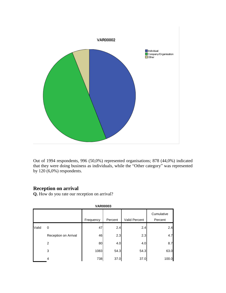

Out of 1994 respondents, 996 (50,0%) represented organisations; 878 (44,0%) indicated that they were doing business as individuals, while the "Other category" was represented by 120 (6,0%) respondents.

# **Reception on arrival**

**Q.** How do you rate our reception on arrival?

| <b>UNIVOUUJ</b> |                      |           |         |               |                       |  |
|-----------------|----------------------|-----------|---------|---------------|-----------------------|--|
|                 |                      | Frequency | Percent | Valid Percent | Cumulative<br>Percent |  |
| Valid           | 0                    | 47        | 2.4     | 2.4           | 2.4                   |  |
|                 | Reception on Arrival | 46        | 2.3     | 2.3           | 4.7                   |  |
|                 | 2                    | 80        | 4.0     | 4.0           | 8.7                   |  |
|                 | 3                    | 1083      | 54.3    | 54.3          | 63.0                  |  |
|                 | 4                    | 738       | 37.0    | 37.0          | 100.0                 |  |

**VAR00003**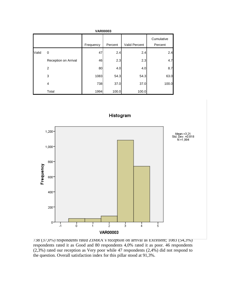|       | <b>VAR00003</b>      |           |         |               |                       |  |  |
|-------|----------------------|-----------|---------|---------------|-----------------------|--|--|
|       |                      | Frequency | Percent | Valid Percent | Cumulative<br>Percent |  |  |
| Valid | 0                    | 47        | 2.4     | 2.4           | 2.4                   |  |  |
|       | Reception on Arrival | 46        | 2.3     | 2.3           | 4.7                   |  |  |
|       | 2                    | 80        | 4.0     | 4.0           | 8.7                   |  |  |
|       | 3                    | 1083      | 54.3    | 54.3          | 63.0                  |  |  |
|       | 4                    | 738       | 37.0    | 37.0          | 100.0                 |  |  |
|       | Total                | 1994      | 100.0   | 100.0         |                       |  |  |



738 (37,0%) respondents rated ZIMRA's reception on arrival as Excellent; 1083 (54,3%) respondents rated it as Good and 80 respondents 4,0% rated it as poor. 46 respondents (2,3%) rated our reception as Very poor while 47 respondents (2,4%) did not respond to the question. Overall satisfaction index for this pillar stood at 91,3%.

Histogram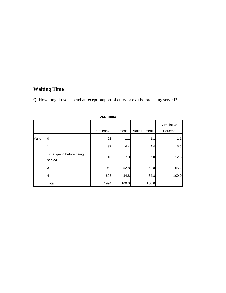# **Waiting Time**

**Q.** How long do you spend at reception/port of entry or exit before being served?

| VARUUUU4 |                                   |           |         |               |                       |  |
|----------|-----------------------------------|-----------|---------|---------------|-----------------------|--|
|          |                                   | Frequency | Percent | Valid Percent | Cumulative<br>Percent |  |
| Valid    | 0                                 | 22        | 1.1     | 1.1           | 1.1                   |  |
|          | 1                                 | 87        | 4.4     | 4.4           | 5.5                   |  |
|          | Time spend before being<br>served | 140       | 7.0     | 7.0           | 12.5                  |  |
|          | 3                                 | 1052      | 52.8    | 52.8          | 65.2                  |  |
|          | $\overline{4}$                    | 693       | 34.8    | 34.8          | 100.0                 |  |
|          | Total                             | 1994      | 100.0   | 100.0         |                       |  |

**VAR00004**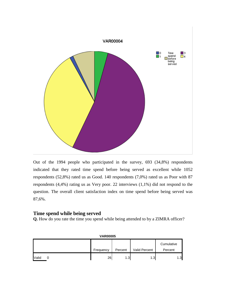

Out of the 1994 people who participated in the survey, 693 (34,8%) respondents indicated that they rated time spend before being served as excellent while 1052 respondents (52,8%) rated us as Good. 140 respondents (7,0%) rated us as Poor with 87 respondents (4,4%) rating us as Very poor. 22 interviews (1,1%) did not respond to the question. The overall client satisfaction index on time spend before being served was 87,6%.

#### **Time spend while being served**

**Q.** How do you rate the time you spend while being attended to by a ZIMRA officer?

| <b>VAR00005</b> |  |           |         |               |            |
|-----------------|--|-----------|---------|---------------|------------|
|                 |  |           |         |               | Cumulative |
|                 |  | Frequency | Percent | Valid Percent | Percent    |
| Valid           |  | 26        | 1.3     | 1.3           | 1.3        |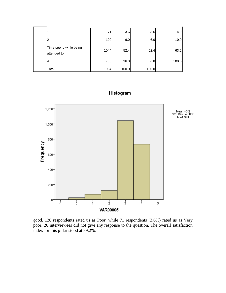|                                       | 71   | 3.6   | 3.6   | 4.9   |
|---------------------------------------|------|-------|-------|-------|
| 2                                     | 120  | 6.0   | 6.0   | 10.9  |
| Time spend while being<br>attended to | 1044 | 52.4  | 52.4  | 63.2  |
| $\overline{4}$                        | 733  | 36.8  | 36.8  | 100.0 |
| Total                                 | 1994 | 100.0 | 100.0 |       |



Histogram

good. 120 respondents rated us as Poor, while 71 respondents (3,6%) rated us as Very poor. 26 interviewees did not give any response to the question. The overall satisfaction index for this pillar stood at 89,2%.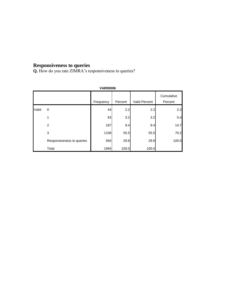## **Responsiveness to queries**

**Q.** How do you rate ZIMRA's responsiveness to queries?

|       | <b>VAR00006</b>           |           |         |               |                       |  |  |
|-------|---------------------------|-----------|---------|---------------|-----------------------|--|--|
|       |                           | Frequency | Percent | Valid Percent | Cumulative<br>Percent |  |  |
| Valid | $\Omega$                  | 44        | 2.2     | 2.2           | 2.2                   |  |  |
|       | 1                         | 63        | 3.2     | 3.2           | 5.4                   |  |  |
|       | 2                         | 187       | 9.4     | 9.4           | 14.7                  |  |  |
|       | 3                         | 1106      | 55.5    | 55.5          | 70.2                  |  |  |
|       | Responsiveness to queries | 594       | 29.8    | 29.8          | 100.0                 |  |  |
|       | Total                     | 1994      | 100.0   | 100.0         |                       |  |  |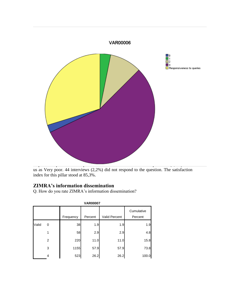

us as Very poor. 44 interviews (2,2%) did not respond to the question. The satisfaction index for this pillar stood at 85,3%.

# **ZIMRA's information dissemination**

Q. How do you rate ZIMRA's information dissemination?

|       | <b>VAR00007</b> |           |         |               |                       |  |  |  |
|-------|-----------------|-----------|---------|---------------|-----------------------|--|--|--|
|       |                 | Frequency | Percent | Valid Percent | Cumulative<br>Percent |  |  |  |
| Valid | 0               | 38        | 1.9     | 1.9           | 1.9                   |  |  |  |
|       |                 | 58        | 2.9     | 2.9           | 4.8                   |  |  |  |
|       | 2               | 220       | 11.0    | 11.0          | 15.8                  |  |  |  |
|       | 3               | 1155      | 57.9    | 57.9          | 73.8                  |  |  |  |
|       | 4               | 523       | 26.2    | 26.2          | 100.0                 |  |  |  |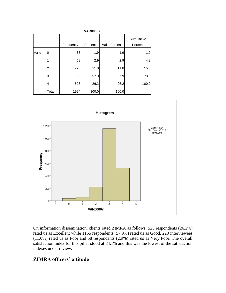|       | <b>VAR00007</b> |           |         |               |                       |  |  |  |  |
|-------|-----------------|-----------|---------|---------------|-----------------------|--|--|--|--|
|       |                 | Frequency | Percent | Valid Percent | Cumulative<br>Percent |  |  |  |  |
| Valid | 0               | 38        | 1.9     | 1.9           | 1.9                   |  |  |  |  |
|       | 1               | 58        | 2.9     | 2.9           | 4.8                   |  |  |  |  |
|       | 2               | 220       | 11.0    | 11.0          | 15.8                  |  |  |  |  |
|       | 3               | 1155      | 57.9    | 57.9          | 73.8                  |  |  |  |  |
|       | 4               | 523       | 26.2    | 26.2          | 100.0                 |  |  |  |  |
|       | Total           | 1994      | 100.0   | 100.0         |                       |  |  |  |  |



On information dissemination, clients rated ZIMRA as follows: 523 respondents (26,2%) rated us as Excellent while 1155 respondents (57,9%) rated us as Good. 220 interviewees (11,0%) rated us as Poor and 58 respondents (2,9%) rated us as Very Poor. The overall satisfaction index for this pillar stood at 84,1% and this was the lowest of the satisfaction indexes under review.

# **ZIMRA officers' attitude**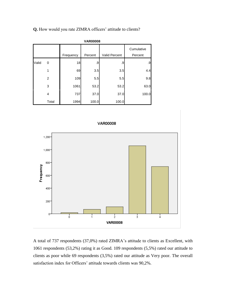|  |  | Q. How would you rate ZIMRA officers' attitude to clients? |  |  |  |
|--|--|------------------------------------------------------------|--|--|--|
|--|--|------------------------------------------------------------|--|--|--|

|       | <b>VAR00008</b> |           |         |               |                       |  |  |  |
|-------|-----------------|-----------|---------|---------------|-----------------------|--|--|--|
|       |                 | Frequency | Percent | Valid Percent | Cumulative<br>Percent |  |  |  |
| Valid | 0               | 18        | .9      | .9            | .9                    |  |  |  |
|       | 1               | 69        | 3.5     | 3.5           | 4.4                   |  |  |  |
|       | 2               | 109       | 5.5     | 5.5           | 9.8                   |  |  |  |
|       | 3               | 1061      | 53.2    | 53.2          | 63.0                  |  |  |  |
|       | 4               | 737       | 37.0    | 37.0          | 100.0                 |  |  |  |
|       | Total           | 1994      | 100.0   | 100.0         |                       |  |  |  |





A total of 737 respondents (37,0%) rated ZIMRA's attitude to clients as Excellent, with 1061 respondents (53,2%) rating it as Good. 109 respondents (5,5%) rated our attitude to clients as poor while 69 respondents (3,5%) rated our attitude as Very poor. The overall satisfaction index for Officers' attitude towards clients was 90,2%.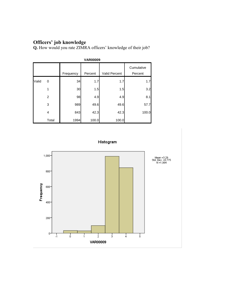## **Officers' job knowledge**

**Q.** How would you rate ZIMRA officers' knowledge of their job?

|       | <b>VAR00009</b> |           |         |                      |                       |  |  |  |
|-------|-----------------|-----------|---------|----------------------|-----------------------|--|--|--|
|       |                 | Frequency | Percent | <b>Valid Percent</b> | Cumulative<br>Percent |  |  |  |
| Valid | 0               | 34        | 1.7     | 1.7                  | 1.7                   |  |  |  |
|       | 1               | 30        | 1.5     | 1.5                  | 3.2                   |  |  |  |
|       | 2               | 98        | 4.9     | 4.9                  | 8.1                   |  |  |  |
|       | 3               | 989       | 49.6    | 49.6                 | 57.7                  |  |  |  |
|       | 4               | 843       | 42.3    | 42.3                 | 100.0                 |  |  |  |
|       | Total           | 1994      | 100.0   | 100.0                |                       |  |  |  |



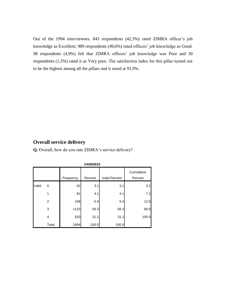Out of the 1994 interviewees, 843 respondents (42,3%) rated ZIMRA officer's job knowledge as Excellent; 989 respondents (49,6%) rated officers' job knowledge as Good. 98 respondents (4,9%) felt that ZIMRA officers' job knowledge was Poor and 30 respondents (1,5%) rated it as Very poor. The satisfaction index for this pillar turned out to be the highest among all the pillars and it stood at 91,9%.

# **Overall service delivery**

**Q.** Overall, how do you rate ZIMRA's service delivery?

|       |       |           | <b>VANUUU IU</b> |                      |                       |
|-------|-------|-----------|------------------|----------------------|-----------------------|
|       |       | Frequency | Percent          | <b>Valid Percent</b> | Cumulative<br>Percent |
| Valid | 0     | 62        | 3.1              | 3.1                  | 3.1                   |
|       | 1     | 81        | 4.1              | 4.1                  | 7.2                   |
|       | 2     | 108       | 5.4              | 5.4                  | 12.6                  |
|       | 3     | 1123      | 56.3             | 56.3                 | 68.9                  |
|       | 4     | 620       | 31.1             | 31.1                 | 100.0                 |
|       | Total | 1994      | 100.0            | 100.0                |                       |

**VAR00010**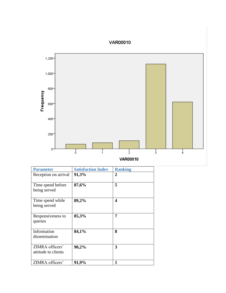# VAR00010



| <b>VAR00010</b> |  |  |  |  |
|-----------------|--|--|--|--|
|-----------------|--|--|--|--|

| <b>Parameter</b>                       | <b>Satisfaction Index</b> | <b>Ranking</b>          |
|----------------------------------------|---------------------------|-------------------------|
| Reception on arrival                   | 91,3%                     | 2                       |
| Time spend before<br>being served      | 87,6%                     | 5                       |
| Time spend while<br>being served       | 89,2%                     | $\overline{\mathbf{4}}$ |
| Responsiveness to<br>queries           | 85,3%                     | 7                       |
| Information<br>dissemination           | 84,1%                     | 8                       |
| ZIMRA officers'<br>attitude to clients | 90,2%                     | 3                       |
| ZIMRA officers'                        | 91,9%                     | 1                       |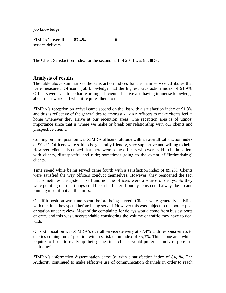| job knowledge                       |       |  |
|-------------------------------------|-------|--|
| ZIMRA's overall<br>service delivery | 87,4% |  |

The Client Satisfaction Index for the second half of 2013 was **88,48%.**

# **Analysis of results**

The table above summarizes the satisfaction indices for the main service attributes that were measured. Officers' job knowledge had the highest satisfaction index of 91,9%. Officers were said to be hardworking, efficient, effective and having immense knowledge about their work and what it requires them to do.

ZIMRA's reception on arrival came second on the list with a satisfaction index of 91,3% and this is reflective of the general desire amongst ZIMRA officers to make clients feel at home whenever they arrive at our reception areas. The reception area is of utmost importance since that is where we make or break our relationship with our clients and prospective clients.

Coming on third position was ZIMRA officers' attitude with an overall satisfaction index of 90,2%. Officers were said to be generally friendly, very supportive and willing to help. However, clients also noted that there were some officers who were said to be impatient with clients, disrespectful and rude; sometimes going to the extent of "intimidating" clients.

Time spend while being served came fourth with a satisfaction index of 89,2%. Clients were satisfied the way officers conduct themselves. However, they bemoaned the fact that sometimes the system itself and not the officers were a source of delays. So they were pointing out that things could be a lot better if our systems could always be up and running most if not all the times.

On fifth position was time spend before being served. Clients were generally satisfied with the time they spend before being served. However this was subject to the border post or station under review. Most of the complaints for delays would come from busiest ports of entry and this was understandable considering the volume of traffic they have to deal with.

On sixth position was ZIMRA's overall service delivery at 87,4% with responsiveness to queries coming on  $7<sup>th</sup>$  position with a satisfaction index of 85,3%. This is one area which requires officers to really up their game since clients would prefer a timely response to their queries.

ZIMRA's information dissemination came  $8<sup>th</sup>$  with a satisfaction index of 84.1%. The Authority continued to make effective use of communication channels in order to reach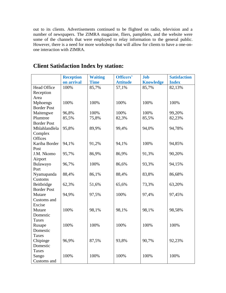out to its clients. Advertisements continued to be flighted on radio, television and a number of newspapers. The ZIMRA magazine, fliers, pamphlets, and the website were some of the channels that were employed to relay information to the general public. However, there is a need for more workshops that will allow for clients to have a one-onone interaction with ZIMRA.

|                    | <b>Reception</b> | <b>Waiting</b> | Officers'       | <b>Job</b>       | <b>Satisfaction</b> |
|--------------------|------------------|----------------|-----------------|------------------|---------------------|
|                    | on arrival       | <b>Time</b>    | <b>Attitude</b> | <b>Knowledge</b> | <b>Index</b>        |
| <b>Head Office</b> | 100%             | 85,7%          | 57,1%           | 85,7%            | 82,13%              |
| Reception          |                  |                |                 |                  |                     |
| Area               |                  |                |                 |                  |                     |
| Mphoengs           | 100%             | 100%           | 100%            | 100%             | 100%                |
| <b>Border Post</b> |                  |                |                 |                  |                     |
| Maitengwe          | 96,8%            | 100%           | 100%            | 100%             | 99,20%              |
| Plumtree           | 85,5%            | 75,8%          | 82,3%           | 85,5%            | 82,23%              |
| <b>Border Post</b> |                  |                |                 |                  |                     |
| Mhlahlandlela      | 95,8%            | 89,9%          | 99,4%           | 94,0%            | 94,78%              |
| Complex            |                  |                |                 |                  |                     |
| Offices            |                  |                |                 |                  |                     |
| Kariba Border      | 94,1%            | 91,2%          | 94,1%           | 100%             | 94,85%              |
| Post               |                  |                |                 |                  |                     |
| J.M. Nkomo         | 95,7%            | 86,9%          | 86,9%           | 91,3%            | 90,20%              |
| Airport            |                  |                |                 |                  |                     |
| Bulawayo           | 96,7%            | 100%           | 86,6%           | 93,3%            | 94,15%              |
| Port               |                  |                |                 |                  |                     |
| Nyamapanda         | 88,4%            | 86,1%          | 88,4%           | 83,8%            | 86,68%              |
| Customs            |                  |                |                 |                  |                     |
| Beitbridge         | 62,3%            | 51,6%          | 65,6%           | 73,3%            | 63,20%              |
| <b>Border Post</b> |                  |                |                 |                  |                     |
| Mutare             | 94,9%            | 97,5%          | 100%            | 97,4%            | 97,45%              |
| Customs and        |                  |                |                 |                  |                     |
| Excise             | 100%             | 98,1%          | 98,1%           | 98,1%            | 98,58%              |
| Mutare<br>Domestic |                  |                |                 |                  |                     |
| <b>Taxes</b>       |                  |                |                 |                  |                     |
| Rusape             | 100%             | 100%           | 100%            | 100%             | 100%                |
| Domestic           |                  |                |                 |                  |                     |
| <b>Taxes</b>       |                  |                |                 |                  |                     |
| Chipinge           | 96,9%            | 87,5%          | 93,8%           | 90,7%            | 92,23%              |
| Domestic           |                  |                |                 |                  |                     |
| <b>Taxes</b>       |                  |                |                 |                  |                     |
| Sango              | 100%             | 100%           | 100%            | 100%             | 100%                |
| Customs and        |                  |                |                 |                  |                     |

# **Client Satisfaction Index by station:**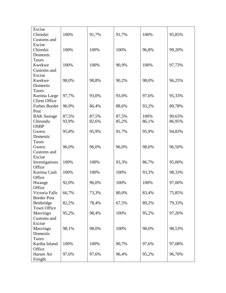| Excise                                           |       |       |                |                |                  |
|--------------------------------------------------|-------|-------|----------------|----------------|------------------|
| Chiredzi                                         | 100%  | 91,7% | 91,7%          | 100%           | 95,85%           |
| Customs and                                      |       |       |                |                |                  |
| Excise                                           |       |       |                |                |                  |
| Chiredzi                                         | 100%  | 100%  | 100%           | 96,8%          | 99,20%           |
| Domestic                                         |       |       |                |                |                  |
| <b>Taxes</b>                                     |       |       |                |                |                  |
| Kwekwe                                           | 100%  | 100%  | 90,9%          | 100%           | 97,73%           |
| Customs and                                      |       |       |                |                |                  |
| Excise                                           |       |       |                |                |                  |
| Kwekwe                                           | 98,0% | 98,8% | 90,2%          | 98,0%          | 96,25%           |
| Domestic                                         |       |       |                |                |                  |
| Taxes                                            |       |       |                |                |                  |
| Kurima Large                                     | 97,7% | 93,0% | 93,0%          | 97,6%          | 95,33%           |
| <b>Client Office</b>                             |       |       |                |                |                  |
| Forbes Border                                    | 90,9% | 86,4% | 88,6%          | 93,2%          | 89,78%           |
| Post                                             |       |       |                |                |                  |
| <b>BAK</b> Storage                               | 87,5% | 87,5% | 87,5%          | 100%           | 90,63%           |
| Chirundu                                         | 93,9% | 82,6% | 85,2%          | 86,1%          | 86,95%           |
| <b>OSBP</b>                                      |       |       |                |                |                  |
| Gweru                                            | 95,8% | 95,9% | 91,7%          | 95,9%          | 94,83%           |
| Domestic                                         |       |       |                |                |                  |
| Taxes                                            |       |       |                |                |                  |
| Gweru                                            | 96,0% | 96,0% | 96,0%          | 98,0%          | 96,50%           |
| Customs and                                      |       |       |                |                |                  |
| Excise                                           |       |       |                |                |                  |
| Investigations                                   | 100%  | 100%  | 93,3%          | 86,7%          | 95,00%           |
| Office                                           |       |       |                |                |                  |
| Kurima Cash                                      | 100%  | 100%  | 100%           | 93,3%          | 98,33%           |
| Office                                           |       |       |                |                |                  |
| Hwange                                           | 92,0% | 96,0% | 100%           | 100%           | 97,00%           |
| Office                                           |       |       |                |                |                  |
| Victoria Falls                                   | 66,7% | 73,3% | 80,0%          | 83,4%          | 75,85%           |
| <b>Border Post</b>                               |       |       |                |                |                  |
| Beitbridge                                       | 82,2% | 78,4% | 67,5%          | 89,2%          | 79,33%           |
| Town Office                                      |       |       |                |                |                  |
| Masvingo                                         | 95,2% | 98,4% | 100%           | 95,2%          | 97,20%           |
| Customs and                                      |       |       |                |                |                  |
| Excise                                           |       |       |                |                |                  |
| Masvingo                                         | 98,1% | 98,0% | 100%           | 98,0%          | 98,53%           |
| Domestic                                         |       |       |                |                |                  |
| <b>Taxes</b>                                     |       |       |                |                |                  |
|                                                  | 100%  | 100%  |                |                |                  |
|                                                  |       |       |                |                |                  |
|                                                  |       |       |                |                |                  |
|                                                  |       |       |                |                |                  |
| Kariba Inland<br>Office<br>Harare Air<br>Freight | 97,6% | 97,6% | 90,7%<br>96,4% | 97,6%<br>95,2% | 97,08%<br>96,70% |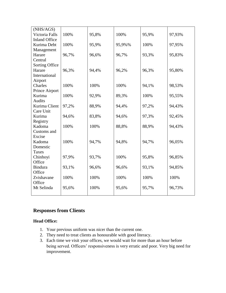| (NHS/AGS)            |       |       |        |       |        |
|----------------------|-------|-------|--------|-------|--------|
| Victoria Falls       | 100%  | 95,8% | 100%   | 95,9% | 97,93% |
| <b>Inland Office</b> |       |       |        |       |        |
| Kurima Debt          | 100%  | 95,9% | 95,9%% | 100%  | 97,95% |
| Management           |       |       |        |       |        |
| Harare               | 96,7% | 96,6% | 96,7%  | 93,3% | 95,83% |
| Central              |       |       |        |       |        |
| Sorting Office       |       |       |        |       |        |
| Harare               | 96,3% | 94,4% | 96,2%  | 96,3% | 95,80% |
| International        |       |       |        |       |        |
| Airport              |       |       |        |       |        |
| Charles              | 100%  | 100%  | 100%   | 94,1% | 98,53% |
| Prince Airport       |       |       |        |       |        |
| Kurima               | 100%  | 92,9% | 89,3%  | 100%  | 95,55% |
| <b>Audits</b>        |       |       |        |       |        |
| Kurima Client        | 97,2% | 88,9% | 94,4%  | 97,2% | 94,43% |
| Care Unit            |       |       |        |       |        |
| Kurima               | 94,6% | 83,8% | 94,6%  | 97,3% | 92,45% |
| Registry             |       |       |        |       |        |
| Kadoma               | 100%  | 100%  | 88,8%  | 88,9% | 94,43% |
| Customs and          |       |       |        |       |        |
| Excise               |       |       |        |       |        |
| Kadoma               | 100%  | 94,7% | 94,8%  | 94,7% | 96,05% |
| Domestic             |       |       |        |       |        |
| <b>Taxes</b>         |       |       |        |       |        |
| Chinhoyi             | 97,9% | 93,7% | 100%   | 95,8% | 96,85% |
| Office               |       |       |        |       |        |
| <b>Bindura</b>       | 93,1% | 96,6% | 96,6%  | 93,1% | 94,85% |
| Office               |       |       |        |       |        |
| Zvishavane           | 100%  | 100%  | 100%   | 100%  | 100%   |
| Office               |       |       |        |       |        |
| Mt Selinda           | 95,6% | 100%  | 95,6%  | 95,7% | 96,73% |
|                      |       |       |        |       |        |

# **Responses from Clients**

#### **Head Office:**

- 1. Your previous uniform was nicer than the current one.
- 2. They need to treat clients as honourable with good literacy.
- 3. Each time we visit your offices, we would wait for more than an hour before being served. Officers' responsiveness is very erratic and poor. Very big need for improvement.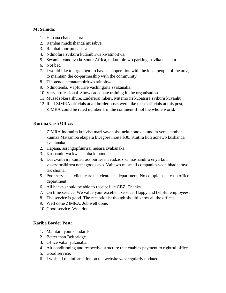#### **Mt Selinda:**

- 1. Hapana chandashora.
- 2. Rambai muchishanda musabve.
- 3. Rambai muripo pabasa.
- 4. Ndinofara zvikuru kutambirwa kwatinoitwa.
- 5. Sevanhu vanobva kuSouth Africa, taikumbirawo parking tasvika neusiku.
- 6. Not bad.
- 7. I would like to urge them to have a cooperation with the local people of the area, to maintain the co-partnership with the community.
- 8. Tinotenda nematambirirwo atinoitwa.
- 9. Ndinotenda. Vapfuurire vachingoita zvakanaka.
- 10. Very professional. Shows adequate training in the organisation.
- 11. Musadzokera shure. Endererai mberi. Mitemo iri kubatsira zvikuru kuvanhu.
- 12. If all ZIMRA officials at all border posts were like these officials at this post, ZIMRA could be rated number 1 in the continent if not the whole world.

#### **Kurima Cash Office:**

- 1. ZIMRA inofanira kubvisa mari yavanoisa nekunonoka kunoita vemakambani kuunza Matsamba ekupera kwegore inoita \$30. Kuitira kuti aonewo kushanda zvakanaka.
- 2. Hapana, asi ingopfuurirai nebasa zvakanaka.
- 3. Kushandurwa kwetsamba kunonoka.
- 4. Dai zvaibvira kumacross border mavadzidzisa mashandiro enyu kuti vasazorasikirwa nemagoods avo. Vaitewo masmall companies vachibhadharavo tax shoma.
- 5. Poor service at client care tax clearance department. No complains at cash office department.
- 6. All banks should be able to receipt like CBZ. Thanks.
- 7. On time service. We value your excellent service. Happy and helpful employees.
- 8. The service is good. The receptionist though should know all the offices.
- 9. Well done ZIMRA. Job well done.
- 10. Good service. Well done.

# **Kariba Border Post:**

- 1. Maintain your standards.
- 2. Better than Beitbridge.
- 3. Office vakai yakanaka.
- 4. Air conditioning and respective structure that enables payment to rightful office.
- 5. Good service.
- 6. I wish all the information on the website was regularly updated.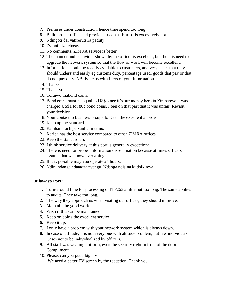- 7. Premises under construction, hence time spend too long.
- 8. Build proper office and provide air con as Kariba is excessively hot.
- 9. Ndingoti dai vatirerutsira paduty.
- 10. Zvinofadza chose.
- 11. No comments. ZIMRA service is better.
- 12. The manner and behaviour shown by the officer is excellent, but there is need to upgrade the network system so that the flow of work will become excellent.
- 13. Information should be readily available to customers, and very clear, that they should understand easily eg customs duty, percentage used, goods that pay or that do not pay duty. NB: issue us with fliers of your information.
- 14. Thanks.
- 15. Thank you.
- 16. Toraiwo mabond coins.
- 17. Bond coins must be equal to US\$ since it's our money here in Zimbabwe. I was charged US\$1 for 80c bond coins. I feel on that part that it was unfair. Revisit your decision.
- 18. Your contact to business is superb. Keep the excellent approach.
- 19. Keep up the standard.
- 20. Rambai muchipa vanhu mitemo.
- 21. Kariba has the best service compared to other ZIMRA offices.
- 22. Keep the standard up.
- 23. I think service delivery at this port is generally exceptional.
- 24. There is need for proper information dissemination because at times officers assume that we know everything.
- 25. If it is possible may you operate 24 hours.
- 26. Ndini ndanga ndatadza zvangu. Ndanga ndisina kudhikireya.

#### **Bulawayo Port:**

- 1. Turn-around time for processing of ITF263 a little but too long. The same applies to audits. They take too long.
- 2. The way they approach us when visiting our offices, they should improve.
- 3. Maintain the good work.
- 4. Wish if this can be maintained.
- 5. Keep on doing the excellent service.
- 6. Keep it up.
- 7. I only have a problem with your network system which is always down.
- 8. In case of attitude, it is not every one with attitude problem, but few individuals. Cases not to be individualized by officers.
- 9. All staff was wearing uniform, even the security right in front of the door. Compliment.
- 10. Please, can you put a big TV.
- 11. We need a better TV screen by the reception. Thank you.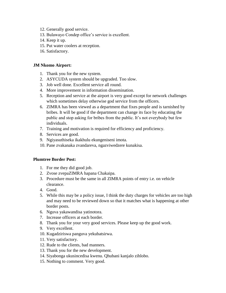- 12. Generally good service.
- 13. Bulawayo Condep office's service is excellent.
- 14. Keep it up.
- 15. Put water coolers at reception.
- 16. Satisfactory.

#### **JM Nkomo Airport:**

- 1. Thank you for the new system.
- 2. ASYCUDA system should be upgraded. Too slow.
- 3. Job well done. Excellent service all round.
- 4. More improvement in information dissemination.
- 5. Reception and service at the airport is very good except for network challenges which sometimes delay otherwise god service from the officers.
- 6. ZIMRA has been viewed as a department that fixes people and is tarnished by bribes. It will be good if the department can change its face by educating the public and stop asking for bribes from the public. It's not everybody but few individuals.
- 7. Training and motivation is required for efficiency and proficiency.
- 8. Services are good.
- 9. Ngiyasuthiseka ikakhulu ekungeniseni imota.
- 10. Pane zvakanaka zvandareva, ngazviwedzere kunakisa.

#### **Plumtree Border Post:**

- 1. For me they did good job.
- 2. Zvose zvepaZIMRA hapana Chakaipa.
- 3. Procedure must be the same in all ZIMRA points of entry i.e. on vehicle clearance.
- 4. Good.
- 5. While this may be a policy issue, I think the duty charges for vehicles are too high and may need to be reviewed down so that it matches what is happening at other border posts.
- 6. Nguva yakawandisa yatinotora.
- 7. Increase officers at each border.
- 8. Thank you for your very good services. Please keep up the good work.
- 9. Very excellent.
- 10. Kugadziriswa panguva yekubatsirwa.
- 11. Very satisfactory.
- 12. Rude to the clients, bad manners.
- 13. Thank you for the new development.
- 14. Siyabonga ukusincedisa kwenu. Qhubani kanjalo zihlobo.
- 15. Nothing to comment. Very good.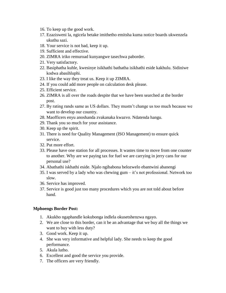- 16. To keep up the good work.
- 17. Ezazisweni la, ngicela betake imithetho emitsha kuma notice boards ukwenzela ukuthu sazi.
- 18. Your service is not bad, keep it up.
- 19. Sufficient and effective.
- 20. ZIMRA iriko remuroad kunyangwe tasechwa paborder.
- 21. Very satisfactory.
- 22. Basiphatha kuhle, kwesinye isikhathi bathatha isikhathi eside kakhulu. Sidiniwe kodwa abasihluphi.
- 23. I like the way they treat us. Keep it up ZIMRA.
- 24. If you could add more people on calculation desk please.
- 25. Efficient service.
- 26. ZIMRA is all over the roads despite that we have been searched at the border post.
- 27. By rating rands same as US dollars. They mustn't change us too much because we want to develop our country.
- 28. Maofficers enyu anoshanda zvakanaka kwazvo. Ndatenda hangu.
- 29. Thank you so much for your assistance.
- 30. Keep up the spirit.
- 31. There is need for Quality Management (ISO Management) to ensure quick service.
- 32. Put more effort.
- 33. Please have one station for all processes. It wastes time to move from one counter to another. Why are we paying tax for fuel we are carrying in jerry cans for our personal use?
- 34. Abathathi iskhathi eside. Njalo ngibabona belozwelo ebantwini abanengi
- 35. I was served by a lady who was chewing gum it's not professional. Network too slow.
- 36. Service has improved.
- 37. Service is good just too many procedures which you are not told about before hand.

#### **Mphoengs Border Post:**

- 1. Akukho ngaphandle kokubonga indlela okusetshenzwa ngayo.
- 2. We are close to this border, can it be an advantage that we buy all the things we want to buy with less duty?
- 3. Good work. Keep it up.
- 4. She was very informative and helpful lady. She needs to keep the good performance.
- 5. Akula lutho.
- 6. Excellent and good the service you provide.
- 7. The officers are very friendly.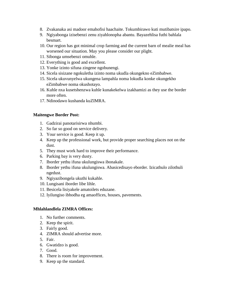- 8. Zvakanaka asi madoor emahofisi haachaite. Tokumbirawo kuti mutibatsire ipapo.
- 9. Ngiyabonga izisebenzi zenu ziyahlonopha abantu. Bayazehlisa futhi bahlala besmart.
- 10. Our region has got minimal crop farming and the current barn of mealie meal has worsened our situation. May you please consider our plight.
- 11. Sibonga umsebenzi omuhle.
- 12. Everything is good and excellent.
- 13. Yonke izinto sifuna zingene ngobunengi.
- 14. Sicela sisizane ngokuletha izinto noma ukudla okungekno eZimbabwe.
- 15. Sicela ukuvunyelwa ukungena lampahla noma lokudla konke okungekho eZimbabwe noma okushotayo.
- 16. Kuhle nxa kusetshenzwa kuhle kunakekelwa izakhamizi as they use the border more often.
- 17. Ndinodawo kushanda kuZIMRA.

#### **Maitengwe Border Post:**

- 1. Gadzirai panotarisirwa nhumbi.
- 2. So far so good on service delivery.
- 3. Your service is good. Keep it up.
- 4. Keep up the professional work, but provide proper searching places not on the dust.
- 5. They must work hard to improve their performance.
- 6. Parking bay is very dusty.
- 7. Iborder yethu ifuna ukulungiswa ibonakale.
- 8. Iborder yethu ifuna ukulungiswa. Abasicedisayo eborder. Izicathulo zilothuli ngedust.
- 9. Ngiyazibongela ukuthi kukahle.
- 10. Lungisani iborder libe lihle.
- 11. Besicela lisiyakele amatoilets eduzane.
- 12. Iyilungiso ibhodha eg amaoffices, houses, pavements.

#### **Mhlahlandlela ZIMRA Offices:**

- 1. No further comments.
- 2. Keep the spirit.
- 3. Fairly good.
- 4. ZIMRA should advertise more.
- 5. Fair.
- 6. Gwatidzo is good.
- 7. Good.
- 8. There is room for improvement.
- 9. Keep up the standard.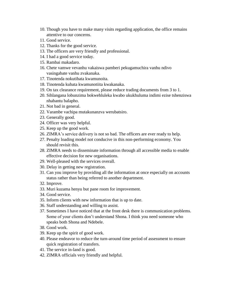- 10. Though you have to make many visits regarding application, the office remains attentive to our concerns.
- 11. Good service.
- 12. Thanks for the good service.
- 13. The officers are very friendly and professional.
- 14. I had a good service today.
- 15. Rambai makadaro.
- 16. Chete vamwe vevanhu vakaiswa pamberi pekugamuchira vanhu ndivo vasingabate vanhu zvakanaka.
- 17. Tinotenda nokutibata kwamunoita.
- 18. Tinotenda kubata kwamunotiita kwakanaka.
- 19. On tax clearance requirement, please reduce trading documents from 3 to 1.
- 20. Sihlangana lobunzima bokwehluleka kwabo ukukhuluma indimi ezise tshenziswa nhabantu balapho.
- 21. Not bad in general.
- 22. Varambe vachipa mutakunanzva werubatsiro.
- 23. Generally good.
- 24. Officer was very helpful.
- 25. Keep up the good work.
- 26. ZIMRA's service delivery is not so bad. The officers are ever ready to help.
- 27. Penalty loading model not conducive in this non-performing economy. You should revisit this.
- 28. ZIMRA needs to disseminate information through all accessible media to enable effective decision for new organisations.
- 29. Well-pleased with the services overall.
- 30. Delay in getting new registration.
- 31. Can you improve by providing all the information at once especially on accounts status rather than being referred to another department.
- 32. Improve.
- 33. Muri kuzama henyu but pane room for improvement.
- 34. Good service.
- 35. Inform clients with new information that is up to date.
- 36. Staff understanding and willing to assist.
- 37. Sometimes I have noticed that at the front desk there is communication problems. Some of your clients don't understand Shona. I think you need someone who speaks both Shona and Ndebele.
- 38. Good work.
- 39. Keep up the spirit of good work.
- 40. Please endeavor to reduce the turn-around time period of assessment to ensure quick registration of transfers.
- 41. The service in-land is good.
- 42. ZIMRA officials very friendly and helpful.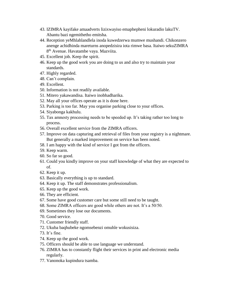- 43. IZIMRA kayifake amaadverts lizixwayiso emaphepheni lokuradio lakuTV. Abantu bazi ngemithetho emitsha.
- 44. Reception yeMhlahlandlela inoda kuwedzerwa mumwe mushandi. Chikonzero anenge achidhinda mareturns anopedzisira iota rimwe basa. Itaiwo sekuZIMRA 8<sup>th</sup> Avenue. Havatambe vaya. Mazviita.
- 45. Excellent job. Keep the spirit.
- 46. Keep up the good work you are doing to us and also try to maintain your standards.
- 47. Highly regarded.
- 48. Can't complain.
- 49. Excellent.
- 50. Information is not readily available.
- 51. Mitero yakawandisa. Itaiwo inobhadharika.
- 52. May all your offices operate as it is done here.
- 53. Parking is too far. May you organise parking close to your offices.
- 54. Siyabonga kakhulu.
- 55. Tax amnesty processing needs to be speeded up. It's taking rather too long to process.
- 56. Overall excellent service from the ZIMRA officers.
- 57. Improve on data capturing and retrieval of files from your registry is a nightmare. But generally a marked improvement on service has been noted.
- 58. I am happy with the kind of service I got from the officers.
- 59. Keep warm.
- 60. So far so good.
- 61. Could you kindly improve on your staff knowledge of what they are expected to of.
- 62. Keep it up.
- 63. Basically everything is up to standard.
- 64. Keep it up. The staff demonstrates professionalism.
- 65. Keep up the good work.
- 66. They are efficient.
- 67. Some have good customer care but some still need to be taught.
- 68. Some ZIMRA officers are good while others are not. It's a 50/50.
- 69. Sometimes they lose our documents.
- 70. Good service.
- 71. Customer friendly staff.
- 72. Ukuba baqhubeke ngomsebenzi omuhle wokusisiza.
- 73. It's fine.
- 74. Keep up the good work.
- 75. Officers should be able to use language we understand.
- 76. ZIMRA has to constantly flight their services in print and electronic media regularly.
- 77. Vanonoka kupindura tsamba.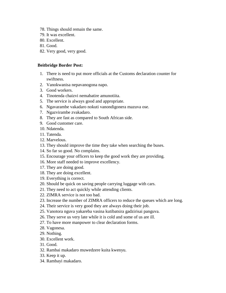- 78. Things should remain the same.
- 79. It was excellent.
- 80. Excellent.
- 81. Good.
- 82. Very good, very good.

#### **Beitbridge Border Post:**

- 1. There is need to put more officials at the Customs declaration counter for swiftness.
- 2. Vanokwanisa nepavanogona napo.
- 3. Good workers.
- 4. Tinotenda chaizvi nemabatire amunotiita.
- 5. The service is always good and appropriate.
- 6. Ngavarambe vakadaro nokuti vanondigonera mazuva ose.
- 7. Ngazvirambe zvakadaro.
- 8. They are fast as compared to South African side.
- 9. Good customer care.
- 10. Ndatenda.
- 11. Tatenda.
- 12. Marvelous.
- 13. They should improve the time they take when searching the buses.
- 14. So far so good. No complains.
- 15. Encourage your officers to keep the good work they are providing.
- 16. More staff needed to improve excellency.
- 17. They are doing good.
- 18. They are doing excellent.
- 19. Everything is correct.
- 20. Should be quick on saving people carrying luggage with cars.
- 21. They need to act quickly while attending clients.
- 22. ZIMRA service is not too bad.
- 23. Increase the number of ZIMRA officers to reduce the queues which are long.
- 24. Their service is very good they are always doing their job.
- 25. Vanotora nguva yakareba vasina kutibatsira gadzirisai panguva.
- 26. They serve us very late while it is cold and some of us are ill.
- 27. To have more manpower to clear declaration forms.
- 28. Vagonesa.
- 29. Nothing.
- 30. Excellent work.
- 31. Good.
- 32. Rambai makadaro muwedzere kuita kwenyu.
- 33. Keep it up.
- 34. Rambayi makadaro.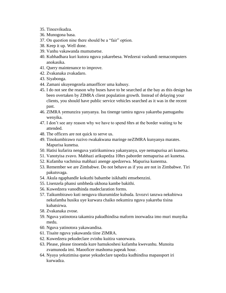- 35. Tinozvikudza.
- 36. Munogona basa.
- 37. On question nine there should be a "fair" option.
- 38. Keep it up. Well done.
- 39. Vanhu vakawanda mumutsetse.
- 40. Kubhadhara kuri kutora nguva yakarebesa. Wedzerai vashandi nemacomputers anokasika.
- 41. Query maintenance to improve.
- 42. Zvakanaka zvakadaro.
- 43. Siyabonga.
- 44. Zamani ukuyengezela amaofficer uma kubusy.
- 45. I do not see the reason why buses have to be searched at the bay as this design has been overtaken by ZIMRA client population growth. Instead of delaying your clients, you should have public service vehicles searched as it was in the recent past.
- 46. ZIMRA yemunzira yanyanya. Isu tinenge tamira nguva yakareba pamuganhu wenyika.
- 47. I don't see any reason why we have to spend 6hrs at the border waiting to be attended.
- 48. The officers are not quick to serve us.
- 49. Tinokumbirawo ruzivo rwakakwana maringe neZIMRA kunyanya marates. Mapurisa kunetsa.
- 50. Hatisi kufarira nenguva yatirikumiswa yakanyanya, uye nemapurisa ari kunetsa.
- 51. Vanotyisa zvavo. Mabhazi arikupedza 10hrs paborder nemapurisa ari kunetsa.
- 52. Kufamba vachmisa mabhazi anenge apedzerwa. Mapurisa kunentsa.
- 53. Remember we are Zimbabwe. Do not behave as if you are not in Zimbabwe. Tiri pakutsvaga.
- 54. Akula ngaphandle kokuthi babambe isikhathi emsebenzini.
- 55. Lisenzela phansi umbheda ukhona kambe bakithi.
- 56. Kuwedzera vanodhinda madeclaration forms.
- 57. Taikumbirawo kuti nenguva tikurumidze kubuda. Izvozvi tanzwa nekubirwa nekufamba husiku uye kurwara chaiko nekumira nguva yakareba tisina kubatsirwa.
- 58. Zvakanaka zvose.
- 59. Nguva yatinotora takamira pakudhindisa maform inorwadza imo muri munyika medu.
- 60. Nguva yatinotora yakawandisa.
- 61. Tisaite nguva yakawanda tiine ZIMRA.
- 62. Kuwedzera pekudeclare zvinhu kuitira vanorwara.
- 63. Please, please tinoenda kure hamukoshesi kufamba kwevanhu. Munoita zvamunoda imi. Maooficer mashoma papeak hour.
- 64. Nyaya yekutimisa queue yekudeclare tapedza kudhindisa mapassport iri kurwadza.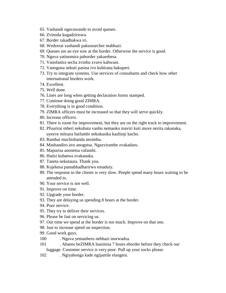- 65. Vashandi ngavawande to avoid queues.
- 66. Zvinoda kugadziriswa.
- 67. Border rakadhakwa iri.
- 68. Wedzerai vashandi pakusearcher mabhazi.
- 69. Queues are an eye sow at the border. Otherwise the service is good.
- 70. Nguva yatinomira paborder yakarebesa.
- 71. Vanofanira secha zvinhu zvavo kahwani.
- 72. Vanogona nekuti pasina ivo kubirana hakuperi.
- 73. Try to integrate systems. Use services of consultants and check how other international borders work.
- 74. Excellent.
- 75. Well done.
- 76. Lines are long when getting declaration forms stamped.
- 77. Continue doing good ZIMRA.
- 78. Everything is in good condition.
- 79. ZIMRA officers must be increased so that they will serve quickly.
- 80. Increase officers.
- 81. There is room for improvement, but they are on the right track to improvement.
- 82. Pfuurirai mberi nekubata vanhu nemaoko maviri kuti muve nezita rakanaka, uyezve mitsara haifambi nekukasika kazhinji kacho.
- 83. Rambai muchishanda nesimba.
- 84. Mashandiro avo anogutsa. Ngazvirambe zvakadaro.
- 85. Mapurisa anonetsa vafambi.
- 86. Hatisi kubatwa zvakanaka.
- 87. Taneta nekutaura. Thank you.
- 88. Kujekesa pamabhadharirwo emaduty.
- 89. The response to the clients is very slow. People spend many hours waiting to be attended to.
- 90. Your service is not well.
- 91. Improve on time.
- 92. Upgrade your border.
- 93. They are delaying us spending 8 hours at the border.
- 94. Poor service.
- 95. They try to deliver their services.
- 96. Please be fast on servicing us.
- 97. Our time we spend at the border is too much. Improve on that one.
- 98. Just to increase speed on inspection.
- 99. Good work guys.
- 100 . Nguva yemanheru nebhazi inorwadza.
- 101 . Abantu beZIMRA basimisa 7 hours eborder before they check our luggage. Customer service is very poor. Pull up your socks please.
- 102 . Ngiyabonga kade ngijamile elangeni.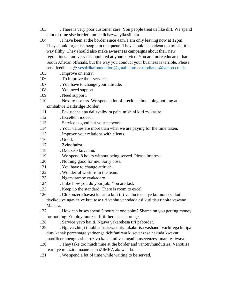- 103 . There is very poor customer care. You people treat us like dirt. We spend a lot of time sise border kumbe lichazwa yikusibuka.
- 104 . I have been at the border since 4am. I am only leaving now at 12pm. They should organise people in the queue. They should also clean the toilets, it's way filthy. They should also make awareness campaigns about their new regulations. I am very disappointed at your service. You are more educated than South African officials, but the way you conduct your business is terrible. Please send feedback @ [yesafrikafoundation@gmail.com](mailto:yesafrikafoundation@gmail.com) or [thodlanas@yahoo.co.uk.](mailto:thodlanas@yahoo.co.uk)
- 105 . Improve on entry.
- 106 . To improve their services.
- 107 . You have to change your attitude.
- 108 . You need support.
- 109 . Need support.
- 110 . Next to useless. We spend a lot of precious time doing nothing at

Zimbabwe Beitbridge Border.

- 111 . Pakusecha apa dai zvaibvira paita mishini kuti zvikasire.
- 112 . Excellent indeed.
- 113 . Service is good but your network.
- 114 . Your values are more than what we are paying for the time taken.
- 115 . Improve your relations with clients.
- 116 . Good.
- 117 . Zvinofadza.
- 118 . Dzidziso kuvanhu.
- 119 . We spend 8 hours without being served. Please improve.
- 120 . Nothing good for me. Sorry boss.
- 121 . You have to change attitude.
- 122 . Wonderful work from the team.
- 123 . Ngazvirambe zvakadaro.
- 124 . I like how you do your job. You are fast.
- 125 . Keep up the standard. There is room to excel.
- 126 . Chikonzero havasi kutarira kuti tiri vanhu tose uye kutinonotsa kuti

tisvike uye ngavazive kuti tose tiri vanhu vanodada asi kuti tisu tinoita vawane Mabasa.

- 127 . How can buses spend 5 hours at one point? Shame on you getting money for nothing. Employ more staff if there is a shortage.
- 128 . Service yavo haiiti. Nguva yakarebesa tiri paborder.
- 129 . Nguva zhinji tinobhadhariswa duty rakakurisa vashandi vachirega kutipa duty kanak percentage yatinenge tichifanirwa kusevenzesa nekuda kwekuti maofficer anenge asina ruzivo kana kuti vasingadi kusevenzesa marates iwayo.
- 130 . They take too much time at the border and vanotivhundutsira. Vanotiisa fear uye munzira maane nemaZIMRA akawanda.
- 131 . We spend a lot of time while waiting to be served.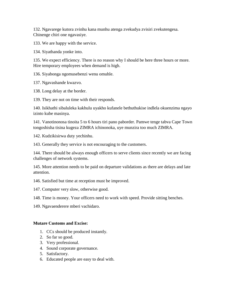132. Ngavarege kutora zvinhu kana munhu atenga zvekudya zvisiri zvekutengesa. Chinenge chiri one ngavasiye.

133. We are happy with the service.

134. Siyathanda yonke into.

135. We expect efficiency. There is no reason why I should be here three hours or more. Hire temporary employees when demand is high.

136. Siyabonga ngomusebenzi wenu omuhle.

137. Ngavashande kwazvo.

138. Long delay at the border.

139. They are not on time with their responds.

140. Isikhathi sibaluleka kakhulu uyakho kufanele bethuthukise indlela okuenzima ngayo izinto kube masinya.

141. Vanotinonosa tinoita 5 to 6 hours tiri pano paborder. Pamwe tenge tabva Cape Town tongoshisha tisina kugeza ZIMRA ichinonoka, uye munzira too much ZIMRA.

142. Kudzikisirwa duty yechinhu.

143. Generally they service is not encouraging to the customers.

144. There should be always enough officers to serve clients since recently we are facing challenges of network systems.

145. More attention needs to be paid on departure validations as there are delays and late attention.

146. Satisfied but time at reception must be improved.

147. Computer very slow, otherwise good.

148. Time is money. Your officers need to work with speed. Provide sitting benches.

149. Ngavaenderere mberi vachidaro.

#### **Mutare Customs and Excise:**

- 1. CCs should be produced instantly.
- 2. So far so good.
- 3. Very professional.
- 4. Sound corporate governance.
- 5. Satisfactory.
- 6. Educated people are easy to deal with.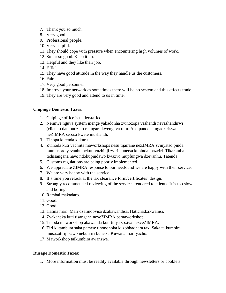- 7. Thank you so much.
- 8. Very good.
- 9. Professional people.
- 10. Very helpful.
- 11. They should cope with pressure when encountering high volumes of work.
- 12. So far so good. Keep it up.
- 13. Helpful and they like their job.
- 14. Efficient.
- 15. They have good attitude in the way they handle us the customers.

16. Fair.

- 17. Very good personnel.
- 18. Improve your network as sometimes there will be no system and this affects trade.
- 19. They are very good and attend to us in time.

### **Chipinge Domestic Taxes:**

- 1. Chipinge office is understaffed.
- 2. Neimwe nguva system inenge yakadonha zvinozopa vashandi nevashandirwi (clients) dambudziko rekugara kwenguva refu. Apa panoda kugadziriswa neZIMRA sebazi kwete mushandi.
- 3. Tinopa kutenda kukuru.
- 4. Zvinoda kuti vachiita maworkshops nesu tijairane neZIMRA zvinyatso pinda mumusoro yevanhu nekuti vazhinji zviri kunetsa kupinda mazviri. Tikaramba tichisangana navo ndokupindawo kwazvo mupfungwa dzevanhu. Tatenda.
- 5. Customs regulations are being poorly implemented.
- 6. We appreciate ZIMRA response to our needs and we are happy with their service.
- 7. We are very happy with the service.
- 8. It's time you relook at the tax clearance form/certificates' design.
- 9. Strongly recommended reviewing of the services rendered to clients. It is too slow and boring.
- 10. Rambai makadaro.
- 11. Good.
- 12. Good.
- 13. Hatina mari. Mari dzatinobvisa dzakawandisa. Hatichadzikwanisi.
- 14. Zvakanaka kuti tisangane neveZIMRA pamaworkshop.
- 15. Tinoda maworkshop akawanda kuti tinyatsoziva nezveZIMRA.
- 16. Tiri kutambura saka pamwe tinononoka kuzobhadhara tax. Saka taikumbira musazotiripisawo nekuti iri kunetsa Kuwana mari yacho.
- 17. Maworkshop taikumbira awanzwe.

#### **Rusape Domestic Taxes:**

1. More information must be readily available through newsletters or booklets.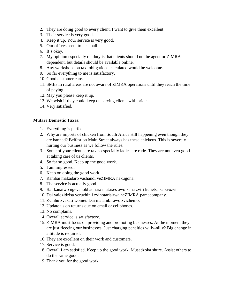- 2. They are doing good to every client. I want to give them excellent.
- 3. Their service is very good.
- 4. Keep it up. Your service is very good.
- 5. Our offices seem to be small.
- 6. It's okay.
- 7. My opinion especially on duty is that clients should not be agent or ZIMRA dependent, but details should be available online.
- 8. Any workshops on taxi obligations calculated would be welcome.
- 9. So far everything to me is satisfactory.
- 10. Good customer care.
- 11. SMEs in rural areas are not aware of ZIMRA operations until they reach the time of paying.
- 12. May you please keep it up.
- 13. We wish if they could keep on serving clients with pride.
- 14. Very satisfied.

### **Mutare Domestic Taxes:**

- 1. Everything is perfect.
- 2. Why are imports of chicken from South Africa still happening even though they are banned? Belfast on Main Street always has these chickens. This is severely hurting our business as we follow the rules.
- 3. Some of your client care taxes especially ladies are rude. They are not even good at taking care of us clients.
- 4. So far so good. Keep up the good work.
- 5. I am impressed.
- 6. Keep on doing the good work.
- 7. Rambai makadaro vashandi veZIMRA nekugona.
- 8. The service is actually good.
- 9. Batikanaiwo ngevanobhadhara mataxes awo kana zviri kunetsa saizvozvi.
- 10. Dai vaidzidzisa veruzhinji zvinotarisirwa neZIMRA pamacompany.
- 11. Zvinhu zvakati womei. Dai matambirawo zvichemo.
- 12. Update us on returns due on email or cellphones.
- 13. No complains.
- 14. Overall service is satisfactory.
- 15. ZIMRA must focus on providing and promoting businesses. At the moment they are just fleecing our businesses. Just charging penalties willy-nilly? Big change in attitude is required.
- 16. They are excellent on their work and customers.
- 17. Service is good.
- 18. Overall I am satisfied. Keep up the good work. Musadzoka shure. Assist others to do the same good.
- 19. Thank you for the good work.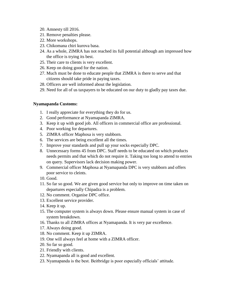- 20. Amnesty till 2016.
- 21. Remove penalties please.
- 22. More workshops.
- 23. Chikomana chiri kurova basa.
- 24. As a whole, ZIMRA has not reached its full potential although am impressed how the office is trying its best.
- 25. Their care to clients is very excellent.
- 26. Keep on doing good for the nation.
- 27. Much must be done to educate people that ZIMRA is there to serve and that citizens should take pride in paying taxes.
- 28. Officers are well informed about the legislation.
- 29. Need for all of us taxpayers to be educated on our duty to gladly pay taxes due.

### **Nyamapanda Customs:**

- 1. I really appreciate for everything they do for us.
- 2. Good performance at Nyamapanda ZIMRA.
- 3. Keep it up with good job. All officers in commercial office are professional.
- 4. Poor working for departures.
- 5. ZIMRA officer Maphosa is very stubborn.
- 6. The services are being excellent all the times.
- 7. Improve your standards and pull up your socks especially DPC.
- 8. Unnecessary forms 45 from DPC. Staff needs to be educated on which products needs permits and that which do not require it. Taking too long to attend to entries on query. Supervisors lack decision making power.
- 9. Commercial officer Maphosa at Nyamapanda DPC is very stubborn and offers poor service to cleints.
- 10. Good.
- 11. So far so good. We are given good service but only to improve on time taken on departures especially Chipadza is a problem.
- 12. No comment. Organise DPC office.
- 13. Excellent service provider.
- 14. Keep it up.
- 15. The computer system is always down. Please ensure manual system in case of system breakdown.
- 16. Thanks to all ZIMRA offices at Nyamapanda. It is very par excellence.
- 17. Always doing good.
- 18. No comment. Keep it up ZIMRA.
- 19. One will always feel at home with a ZIMRA officer.
- 20. So far so good.
- 21. Friendly with clients.
- 22. Nyamapanda all is good and excellent.
- 23. Nyamapanda is the best. Beitbridge is poor especially officials' attitude.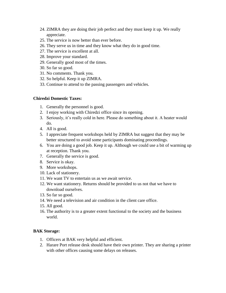- 24. ZIMRA they are doing their job perfect and they must keep it up. We really appreciate.
- 25. The service is now better than ever before.
- 26. They serve us in time and they know what they do in good time.
- 27. The service is excellent at all.
- 28. Improve your standard.
- 29. Generally good most of the times.
- 30. So far so good.
- 31. No comments. Thank you.
- 32. So helpful. Keep it up ZIMRA.
- 33. Continue to attend to the passing passengers and vehicles.

#### **Chiredzi Domestic Taxes:**

- 1. Generally the personnel is good.
- 2. I enjoy working with Chiredzi office since its opening.
- 3. Seriously, it's really cold in here. Please do something about it. A heater would do.
- 4. All is good.
- 5. I appreciate frequent workshops held by ZIMRA but suggest that they may be better structured to avoid some participants dominating proceedings.
- 6. You are doing a good job. Keep it up. Although we could use a bit of warming up at reception. Thank you.
- 7. Generally the service is good.
- 8. Service is okay.
- 9. More workshops.
- 10. Lack of stationery.
- 11. We want TV to entertain us as we await service.
- 12. We want stationery. Returns should be provided to us not that we have to download ourselves.
- 13. So far so good.
- 14. We need a television and air condition in the client care office.
- 15. All good.
- 16. The authority is to a greater extent functional to the society and the business world.

# **BAK Storage:**

- 1. Officers at BAK very helpful and efficient.
- 2. Harare Port release desk should have their own printer. They are sharing a printer with other offices causing some delays on releases.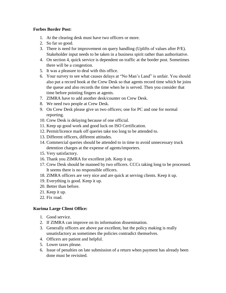#### **Forbes Border Post:**

- 1. At the clearing desk must have two officers or more.
- 2. So far so good.
- 3. There is need for improvement on query handling (Uplifts of values after P/E). Stakeholder input needs to be taken in a business spirit rather than authoritative.
- 4. On section 4, quick service is dependent on traffic at the border post. Sometimes there will be a congestion.
- 5. It was a pleasure to deal with this office.
- 6. Your survey to see what causes delays at "No Man's Land" is unfair. You should also put a record book at the Crew Desk so that agents record time which he joins the queue and also records the time when he is served. Then you consider that time before pointing fingers at agents.
- 7. ZIMRA have to add another desk/counter on Crew Desk.
- 8. We need two people at Crew Desk.
- 9. On Crew Desk please give us two officers; one for PC and one for normal reporting.
- 10. Crew Desk is delaying because of one official.
- 11. Keep up good work and good luck on ISO Certification.
- 12. Permit/licence mark off queries take too long to be attended to.
- 13. Different officers, different attitudes.
- 14. Commercial queries should be attended to in time to avoid unnecessary truck detention charges at the expense of agents/importers.
- 15. Very satisfactory.
- 16. Thank you ZIMRA for excellent job. Keep it up.
- 17. Crew Desk should be manned by two officers. CCCs taking long to be processed. It seems there is no responsible officers.
- 18. ZIMRA officers are very nice and are quick at serving clients. Keep it up.
- 19. Everything is good. Keep it up.
- 20. Better than before.
- 21. Keep it up.
- 22. Fix road.

# **Kurima Large Client Office:**

- 1. Good service.
- 2. If ZIMRA can improve on its information dissemination.
- 3. Generally officers are above par excellent, but the policy making is really unsatisfactory as sometimes the policies contradict themselves.
- 4. Officers are patient and helpful.
- 5. Lower taxes please.
- 6. Issue of penalties on late submission of a return when payment has already been done must be revisited.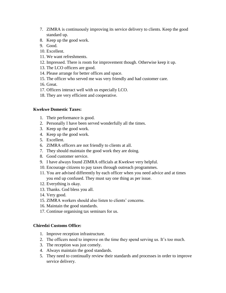- 7. ZIMRA is continuously improving its service delivery to clients. Keep the good standard up.
- 8. Keep up the good work.
- 9. Good.
- 10. Excellent.
- 11. We want refreshments.
- 12. Impressed. There is room for improvement though. Otherwise keep it up.
- 13. The LCO officers are good.
- 14. Please arrange for better offices and space.
- 15. The officer who served me was very friendly and had customer care.
- 16. Great.
- 17. Officers interact well with us especially LCO.
- 18. They are very efficient and cooperative.

### **Kwekwe Domestic Taxes:**

- 1. Their performance is good.
- 2. Personally I have been served wonderfully all the times.
- 3. Keep up the good work.
- 4. Keep up the good work.
- 5. Excellent.
- 6. ZIMRA officers are not friendly to clients at all.
- 7. They should maintain the good work they are doing.
- 8. Good customer service.
- 9. I have always found ZIMRA officials at Kwekwe very helpful.
- 10. Encourage citizens to pay taxes through outreach programmes.
- 11. You are advised differently by each officer when you need advice and at times you end up confused. They must say one thing as per issue.
- 12. Everything is okay.
- 13. Thanks. God bless you all.
- 14. Very good.
- 15. ZIMRA workers should also listen to clients' concerns.
- 16. Maintain the good standards.
- 17. Continue organising tax seminars for us.

#### **Chiredzi Customs Office:**

- 1. Improve reception infrastructure.
- 2. The officers need to improve on the time they spend serving us. It's too much.
- 3. The reception was just comely.
- 4. Always maintain the good standards.
- 5. They need to continually review their standards and processes in order to improve service delivery.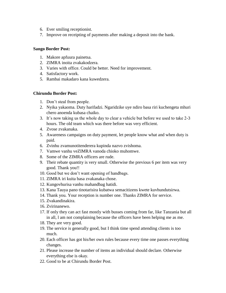- 6. Ever smiling receptionist.
- 7. Improve on receipting of payments after making a deposit into the bank.

#### **Sango Border Post:**

- 1. Makore apfuura painetsa.
- 2. ZIMRA inoita zvakakodzera.
- 3. Varies with office. Could be better. Need for improvement.
- 4. Satisfactory work.
- 5. Rambai makadaro kana kuwedzera.

#### **Chirundu Border Post:**

- 1. Don't steal from people.
- 2. Nyika yakaoma. Duty harifadzi. Ngaridzike uye ndiro basa riri kuchengeta mhuri chero anoenda kubasa chaiko.
- 3. It's now taking us the whole day to clear a vehicle but before we used to take 2-3 hours. The old team which was there before was very efficient.
- 4. Zvose zvakanaka.
- 5. Awareness campaigns on duty payment, let people know what and when duty is paid.
- 6. Zvinhu zvamunotitenderera kupinda nazvo zvishoma.
- 7. Vamwe vanhu veZIMRA vanoda chioko muhomwe.
- 8. Some of the ZIMRA officers are rude.
- 9. Their rebate quantity is very small. Otherwise the previous 6 per item was very good. Thank you!!
- 10. Good but we don't want opening of handbags.
- 11. ZIMRA iri kuita basa zvakanaka chose.
- 12. Kungovhurisa vanhu mahandbag hatidi.
- 13. Kana Tauya pano tinotarisira kubatwa semacitizens kwete kuvhundutsirwa.
- 14. Thank you. Your reception is number one. Thanks ZIMRA for service.
- 15. Zvakandinakira.
- 16. Zvirinanewo.
- 17. If only they can act fast mostly with busses coming from far, like Tanzania but all in all, l am not complaining because the officers have been helping me as me.
- 18. They are very good.
- 19. The service is generally good, but I think time spend attending clients is too much.
- 20. Each officer has got his/her own rules because every time one passes everything changes.
- 21. Please increase the number of items an individual should declare. Otherwise everything else is okay.
- 22. Good to be at Chirundu Border Post.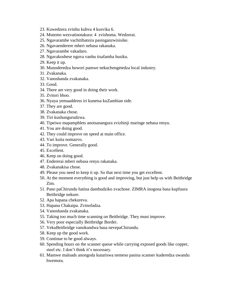- 23. Kuwedzera zvinhu kubva 4 kusvika 6.
- 24. Mutemo wezvatinotakura: 4 zvishoma. Wedzerai.
- 25. Ngavarambe vachitibatsira pasinganzwisisike.
- 26. Ngavaenderere mberi nebasa rakanaka.
- 27. Ngavarambe vakadaro.
- 28. Ngavakoshese nguva vanhu tisafamba husiku.
- 29. Keep it up.
- 30. Munoderedza huwori pamwe nekuchengetedza local industry.
- 31. Zvakanaka.
- 32. Vanoshanda zvakanaka.
- 33. Good.
- 34. There are very good in doing their work.
- 35. Zvitori bhoo.
- 36. Nyaya yemaaddress iri kunetsa kuZambian side.
- 37. They are good.
- 38. Zvakanaka chose.
- 39. Tiri kushungurudzwa.
- 40. Tipeiwo mapamphlets anotsanangura zvizhinji maringe nebasa renyu.
- 41. You are doing good.
- 42. They could improve on speed at main office.
- 43. Vari kuita nomazvo.
- 44. To improve. Generally good.
- 45. Excellent.
- 46. Keep on doing good.
- 47. Endererai mberi nebasa renyu rakanaka.
- 48. Zvakanakisa chose.
- 49. Please you need to keep it up. So that next time you get excellent.
- 50. At the moment everything is good and improving, but just help us with Beitbridge Zim.
- 51. Pano paChirundu hatina dambudziko zvachose. ZIMRA inogona basa kupfuura Beitbridge nekure.
- 52. Apa hapana chekureva.
- 53. Hapana Chakaipa. Zvinofadza.
- 54. Vanoshanda zvakanaka.
- 55. Taking too much time scanning on Beitbridge. They must improve.
- 56. Very poor especially Beitbridge Border.
- 57. VekuBeitbridge vanokundwa basa nevepaChirundu.
- 58. Keep up the good work.
- 59. Continue to be good always.
- 60. Spending hours on the scanner queue while carrying exposed goods like copper, steel etc. I don't think it's necessary.
- 61. Mamwe maloads anongoda kutariswa nemeso pasina scanner kuderedza uwandu hwemota.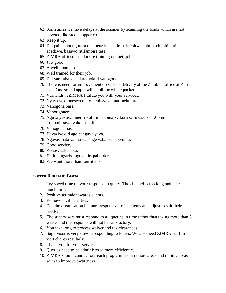- 62. Sometimes we have delays at the scanner by scanning the loads which are not covered like steel, copper etc.
- 63. Keep it up.
- 64. Dai paita anoongorora maqueue kana atirebei. Poitwa chimbi chimbi kuti apedzwe, basawo ritifambire tese.
- 65. ZIMRA officers need more training on their job.
- 66. Just good.
- 67. A well done job.
- 68. Well trained for their job.
- 69. Dai varamba vakadaro nokuti vanogona.
- 70. There is need for improvement on service delivery at the Zambian office at Zim side. One soiled apple will spoil the whole packet.
- 71. Vashandi veZIMRA I salute you with your services.
- 72. Nyaya yekuoneswa moto tichitsvaga mari nekurarama.
- 73. Vanogona basa.
- 74. Vanotigonera.
- 75. Nguva yekuscanner irikutiitira shoma zvikuru sei ukasvika 1:00pm. Tokumbirawo vaite mashifts.
- 76. Vanogona basa.
- 77. Havazive old age panguva yavo.
- 78. Ngavasabata vanhu vanenge vabatisana zvinhu.
- 79. Good service.
- 80. Zvese zvakanaka.
- 81. Hatidi kugarisa nguva tiri paborder.
- 82. We want more than four items.

#### **Gweru Domestic Taxes:**

- 1. Try speed time on your response to query. The channel is too long and takes so much time.
- 2. Positive attitude towards clients.
- 3. Remove civil penalties.
- 4. Can the organisation be more responsive to its clients and adjust to suit their needs?
- 5. The supervisors must respond to all queries in time rather than taking more than 3 weeks and the responds will not be satisfactory.
- 6. You take long to process waiver and tax clearances.
- 7. Supervisor is very slow in responding to letters. We also need ZIMRA staff to visit clients regularly.
- 8. Thank you for your service.
- 9. Queries need to be administered more efficiently.
- 10. ZIMRA should conduct outreach programmes in remote areas and mining areas so as to improve awareness.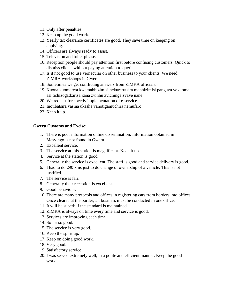- 11. Only after penalties.
- 12. Keep up the good work.
- 13. Yearly tax clearance certificates are good. They save time on keeping on applying.
- 14. Officers are always ready to assist.
- 15. Television and toilet please.
- 16. Reception people should pay attention first before confusing customers. Quick to dismiss clients without paying attention to queries.
- 17. Is it not good to use vernacular on other business to your clients. We need ZIMRA workshops in Gweru.
- 18. Sometimes we get conflicting answers from ZIMRA officials.
- 19. Kuona kuomerwa kwemabhizimisi nekurerutsira mabhizimisi panguva yekuoma, asi tichizogadzirisa kana zvinhu zvichinge zvave nane.
- 20. We request for speedy implementation of e-service.
- 21. Inotibatsira vasina ukasha vanotigamuchira nemufaro.
- 22. Keep it up.

#### **Gweru Customs and Excise:**

- 1. There is poor information online dissemination. Information obtained in Masvingo is not found in Gweru.
- 2. Excellent service.
- 3. The service at this station is magnificent. Keep it up.
- 4. Service at the station is good.
- 5. Generally the service is excellent. The staff is good and service delivery is good.
- 6. I had to do 290 kms just to do change of ownership of a vehicle. This is not justified.
- 7. The service is fair.
- 8. Generally their reception is excellent.
- 9. Good behaviour.
- 10. There are many protocols and offices in registering cars from borders into offices. Once cleared at the border, all business must be conducted in one office.
- 11. It will be superb if the standard is maintained.
- 12. ZIMRA is always on time every time and service is good.
- 13. Services are improving each time.
- 14. So far so good.
- 15. The service is very good.
- 16. Keep the spirit up.
- 17. Keep on doing good work.
- 18. Very good.
- 19. Satisfactory service.
- 20. I was served extremely well, in a polite and efficient manner. Keep the good work.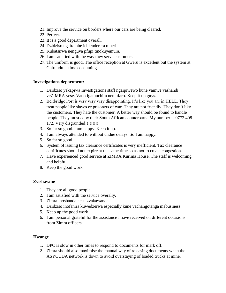- 21. Improve the service on borders where our cars are being cleared.
- 22. Perfect.
- 23. It is a good department overall.
- 24. Dzidziso ngairambe ichienderera mberi.
- 25. Kubatsirwa nenguva pfupi tinokuyemura.
- 26. I am satisfied with the way they serve customers.
- 27. The uniform is good. The office reception at Gweru is excellent but the system at Chirundu is time consuming.

#### **Investigations department:**

- 1. Dzidziso yakapiwa Investigations staff ngaipiwewo kune vamwe vashandi veZIMRA yese. Vanotigamuchira nemufaro. Keep it up guys.
- 2. Beitbridge Port is very very very disappointing. It's like you are in HELL. They treat people like slaves or prisoners of war. They are not friendly. They don't like the customers. They hate the customer. A better way should be found to handle people. They must copy their South African counterparts. My number is 0772 408 172. Very disgruntled!!!!!!!!!
- 3. So far so good. I am happy. Keep it up.
- 4. I am always attended to without undue delays. So I am happy.
- 5. So far so good.
- 6. System of issuing tax clearance certificates is very inefficient. Tax clearance certificates should not expire at the same time so as not to create congestion.
- 7. Have experienced good service at ZIMRA Kurima House. The staff is welcoming and helpful.
- 8. Keep the good work.

#### **Zvishavane**

- 1. They are all good people.
- 2. I am satisfied with the service overally.
- 3. Zimra inoshanda nesu zvakawanda.
- 4. Dzidziso inofanira kuwedzerwa especially kune vachangotanga mabusiness
- 5. Keep up the good work
- 6. I am personal grateful for the assistance I have received on different occasions from Zimra officers

#### **Hwange**

- 1. DPC is slow in other times to respond to documents for mark off.
- 2. Zimra should also maximise the manual way of releasing documents when the ASYCUDA network is down to avoid overstaying of loaded trucks at mine.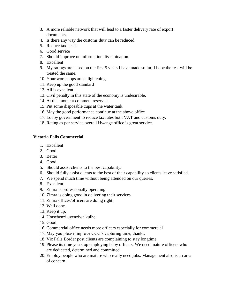- 3. A more reliable network that will lead to a faster delivery rate of export documents.
- 4. Is there any way the customs duty can be reduced.
- 5. Reduce tax heads
- 6. Good service
- 7. Should improve on information dissemination.
- 8. Excellent
- 9. My ratings are based on the first 5 visits I have made so far, I hope the rest will be treated the same.
- 10. Your workshops are enlightening.
- 11. Keep up the good standard
- 12. All is excellent
- 13. Civil penalty in this state of the economy is undesirable.
- 14. At this moment comment reserved.
- 15. Put some disposable cups at the water tank.
- 16. May the good performance continue at the above office
- 17. Lobby government to reduce tax rates both VAT and customs duty.
- 18. Rating as per service overall Hwange office is great service.

#### **Victoria Falls Commercial**

- 1. Excellent
- 2. Good
- 3. Better
- 4. Good
- 5. Should assist clients to the best capability.
- 6. Should fully assist clients to the best of their capability so clients leave satisfied.
- 7. We spend much time without being attended on our queries.
- 8. Excellent
- 9. Zimra is professionally operating
- 10. Zimra is doing good in delivering their services.
- 11. Zimra offices/officers are doing right.
- 12. Well done.
- 13. Keep it up.
- 14. Umsebenzi uyenziwa kulhe.
- 15. Good
- 16. Commercial office needs more officers especially for commercial
- 17. May you please improve CCC's capturing time, thanks.
- 18. Vic Falls Border post clients are complaining to stay longtime.
- 19. Please its time you stop employing baby officers. We need mature officers who are dedicated, determined and committed.
- 20. Employ people who are mature who really need jobs. Management also is an area of concern.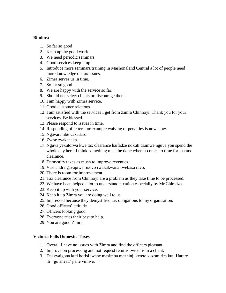#### **Bindura**

- 1. So far so good
- 2. Keep up the good work
- 3. We need periodic seminars
- 4. Good services keep it up.
- 5. Introduce more seminars/training in Mashonaland Central a lot of people need more knowledge on tax issues.
- 6. Zimra serves us in time.
- 7. So far so good
- 8. We are happy with the service so far.
- 9. Should not select clients or discourage them.
- 10. I am happy with Zimra service.
- 11. Good customer relations.
- 12. I am satisfied with the services I get from Zimra Chinhoyi. Thank you for your services. Be blessed.
- 13. Please respond to issues in time.
- 14. Responding of letters for example waiving of penalties is now slow.
- 15. Ngavarambe vakadaro.
- 16. Zvese zvakanaka.
- 17. Nguva yekutorwa kwe tax clearance haifadze nokuti dzimwe nguva you spend the whole day here. I think something must be done when it comes to time for ma tax clearance.
- 18. Demystify taxes as mush to improve revenues.
- 19. Vashandi ngavapiwe ruzivo rwakakwana rwebasa ravo.
- 20. There is room for improvement.
- 21. Tax clearance from Chinhoyi are a problem as they take time to be processed.
- 22. We have been helped a lot to understand taxation especially by Mr Chiradza.
- 23. Keep it up with your service.
- 24. Keep it up Zimra you are doing well to us.
- 25. Impressed because they demystified tax obligations to my organisation.
- 26. Good officers' attitude.
- 27. Officers looking good.
- 28. Everyone tries their best to help.
- 29. You are good Zimra.

#### **Victoria Falls Domestic Taxes**

- 1. Overall I have no issues with Zimra and find the officers pleasant
- 2. Improve on processing and not request returns twice from a client.
- 3. Dai zvaigona kuti hofisi iwane masimba mazhinji kwete kuzomirira kuti Harare iti ' go ahead' pane vimwe.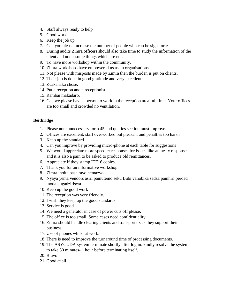- 4. Staff always ready to help
- 5. Good work.
- 6. Keep the job up.
- 7. Can you please increase the number of people who can be signatories.
- 8. During audits Zimra officers should also take time to study the information of the client and not assume things which are not.
- 9. To have more workshop within the community.
- 10. Zimra workshops have empowered us as an organisations.
- 11. Not please with misposts made by Zimra then the burden is put on clients.
- 12. Their job is done in good gratitude and very excellent.
- 13. Zvakanaka chose.
- 14. Put a reception and a receptionist.
- 15. Rambai makadaro.
- 16. Can we please have a person to work in the reception area full time. Your offices are too small and crowded no ventilation.

### **Beitbridge**

- 1. Please note unnecessary form 45 and queries section must improve.
- 2. Offices are excellent, staff overworked but pleasant and penalties too harsh
- 3. Keep up the standard
- 4. Can you improve by providing micro-phone at each table for suggestions
- 5. We would appreciate more speedier responses for issues like amnesty responses and it is also a pain to be asked to produce old remittances.
- 6. Appreciate if they stamp ITF16 copies.
- 7. Thank you for an informative workshop.
- 8. Zimra inoita basa rayo nemazvo.
- 9. Nyaya yema vendors asiri pamutemo seku Bubi vanobika sadza pamhiri peroad inoda kugadziriswa.
- 10. Keep up the good work
- 11. The reception was very friendly.
- 12. I wish they keep up the good standards
- 13. Service is good
- 14. We need a generator in case of power cuts off please.
- 15. The office is too small. Some cases need confidentiality.
- 16. Zimra should handle clearing clients and transporters as they support their business.
- 17. Use of phones whilst at work.
- 18. There is need to improve the turnaround time of processing documents.
- 19. The ASYCUDA system terminate shortly after log in. kindly resolve the system to take 30 minutes- 1 hour before terminating itself.
- 20. Bravo
- 21. Good at all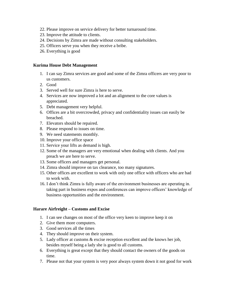- 22. Please improve on service delivery for better turnaround time.
- 23. Improve the attitude to clients.
- 24. Decisions by Zimra are made without consulting stakeholders.
- 25. Officers serve you when they receive a bribe.
- 26. Everything is good

#### **Kurima House Debt Management**

- 1. I can say Zimra services are good and some of the Zimra officers are very poor to us customers.
- 2. Good
- 3. Served well for sure Zimra is here to serve.
- 4. Services are now improved a lot and an alignment to the core values is appreciated.
- 5. Debt management very helpful.
- 6. Offices are a bit overcrowded, privacy and confidentiality issues can easily be breached.
- 7. Elevators should be repaired.
- 8. Please respond to issues on time.
- 9. We need statements monthly.
- 10. Improve your office space
- 11. Service your lifts as demand is high.
- 12. Some of the managers are very emotional when dealing with clients. And you preach we are here to serve.
- 13. Some officers and managers get personal.
- 14. Zimra should improve on tax clearance, too many signatures.
- 15. Other offices are excellent to work with only one office with officers who are bad to work with.
- 16. I don't think Zimra is fully aware of the environment businesses are operating in. taking part in business expos and conferences can improve officers' knowledge of business opportunities and the environment.

#### **Harare Airfreight – Customs and Excise**

- 1. I can see changes on most of the office very keen to improve keep it on
- 2. Give them more computers.
- 3. Good services all the times
- 4. They should improve on their system.
- 5. Lady officer at customs & excise reception excellent and the knows her job, besides myself being a lady she is good to all customs.
- 6. Everything is great except that they should contact the owners of the goods on time.
- 7. Please not that your system is very poor always system down it not good for work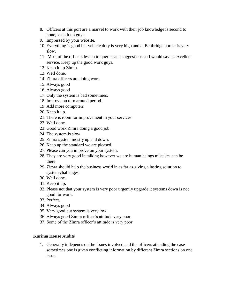- 8. Officers at this port are a marvel to work with their job knowledge is second to none, keep it up guys.
- 9. Impressed by your website.
- 10. Everything is good but vehicle duty is very high and at Beitbridge border is very slow.
- 11. Most of the officers lesson to queries and suggestions so I would say its excellent service. Keep up the good work guys.
- 12. Keep it up Zimra.
- 13. Well done.
- 14. Zimra officers are doing work
- 15. Always good
- 16. Always good
- 17. Only the system is bad sometimes.
- 18. Improve on turn around period.
- 19. Add more computers
- 20. Keep it up.
- 21. There is room for improvement in your services
- 22. Well done.
- 23. Good work Zimra doing a good job
- 24. The system is slow
- 25. Zimra system mostly up and down.
- 26. Keep up the standard we are pleased.
- 27. Please can you improve on your system.
- 28. They are very good in talking however we are human beings mistakes can be there
- 29. Zimra should help the business world in as far as giving a lasting solution to system challenges.
- 30. Well done.
- 31. Keep it up.
- 32. Please not that your system is very poor urgently upgrade it systems down is not good for work.
- 33. Perfect.
- 34. Always good
- 35. Very good but system is very low
- 36. Always good Zimra officer's attitude very poor.
- 37. Some of the Zimra officer's attitude is very poor

#### **Kurima House Audits**

1. Generally it depends on the issues involved and the officers attending the case sometimes one is given conflicting information by different Zimra sections on one issue.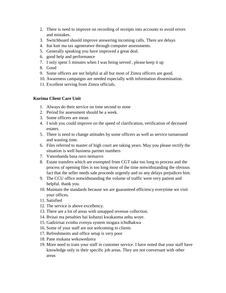- 2. There is need to improve on recording of receipts into accounts to avoid errors and mistakes.
- 3. Switchboard should improve answering incoming calls. There are delays
- 4. Itai kuti ma tax ageneratwe through computer assessments.
- 5. Generally speaking you have improved a great deal.
- 6. good help and performance
- 7. I only spent 5 minutes when I was being served , please keep it up
- 8. Good
- 9. Some officers are not helpful at all but most of Zimra officers are good.
- 10. Awareness campaigns are needed especially with information dissemination.
- 11. Excellent serving from Zimra officials.

### **Kurima Client Care Unit**

- 1. Always do their service on time second to none
- 2. Period for assessment should be a week.
- 3. Some officers are mean
- 4. I wish you could improve on the speed of clarification, verification of deceased estates.
- 5. There is need to change attitudes by some officers as well as service turnaround and wasting time.
- 6. Files referred to master of high court are taking years. May you please rectify the situation is well business partner numbers
- 7. Vanoshanda basa ravo nemazvo
- 8. Estate transfers which are exempted from CGT take too long to process and the process of opening files is too long most of the time notwithstanding the obvious fact that the seller needs sale proceeds urgently and so any delays prejudices him.
- 9. The CCU office notwithstanding the volume of traffic were very patient and helpful. thank you.
- 10. Maintain the standards because we are guaranteed efficiency everytime we visit your offices.
- 11. Satisfied
- 12. The service is above excellency.
- 13. There are a lot of areas with untapped revenue collection.
- 14. Bvisai ma penalties hai kubanzi kwakaoma anhu woye.
- 15. Gadzirisai zvinhu zvenyu system inogara ichidhakwa
- 16. Some of your staff are not welcoming to clients
- 17. Refreshments and office setup is very poor
- 18. Pane mukana wekuwedzera
- 19. More need to train your staff in customer service. I have noted that your staff have knowledge only in their specific job areas. They are not conversant with other areas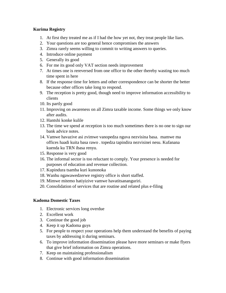#### **Kurima Registry**

- 1. At first they treated me as if I had the how yet not, they treat people like liars.
- 2. Your questions are too general hence compromises the answers
- 3. Zimra rarely seems willing to commit to writing answers to queries.
- 4. Introduce online payment
- 5. Generally its good
- 6. For me its good only VAT section needs improvement
- 7. At times one is rereversed from one office to the other thereby wasting too much time spent in here
- 8. If the response time for letters and other correspondence can be shorter the better because other offices take long to respond.
- 9. The reception is pretty good, though need to improve information accessibility to clients
- 10. Its partly good
- 11. Improving on awareness on all Zimra taxable income. Some things we only know after audits.
- 12. Hantshi konke kulile
- 13. The time we spend at reception is too much sometimes there is no one to sign our bank advice notes.
- 14. Vamwe havazive asi zvimwe vanopedza nguva nezvisina basa. mamwe ma offices haadi kuita basa rawo . topedza tapindira nezvisinei nesu. Kufanana kuenda ku TRN ibasa renyu.
- 15. Response is very good
- 16. The informal sector is too reluctant to comply. Your presence is needed for purposes of education and revenue collection.
- 17. Kupindura tsamba kuri kunonoka
- 18. Wanhu ngawawedzerwe registry office is short staffed.
- 19. Mimwe mitemo hatiyizive vamwe havatitsananguriri.
- 20. Consolidation of services that are routine and related plus e-filing

#### **Kadoma Domestic Taxes**

- 1. Electronic services long overdue
- 2. Excellent work
- 3. Continue the good job
- 4. Keep it up Kadoma guys
- 5. For people to respect your operations help them understand the benefits of paying taxes by addressing it during seminars.
- 6. To improve information dissemination please have more seminars or make flyers that give brief information on Zimra operations.
- 7. Keep on maintaining professionalism
- 8. Continue with good information dissemination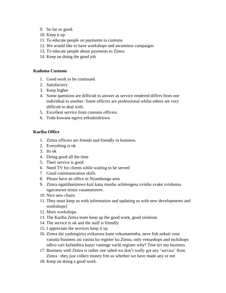- 9. So far so good.
- 10. Keep it up
- 11. To educate people on payments to customs
- 12. We would like to have workshops and awareness campaigns
- 13. To educate people about payments to Zimra
- 14. Keep on doing the good job

#### **Kadoma Customs**

- 1. Good work to be continued
- 2. Satisfactory
- 3. Keep higher
- 4. Some questions are difficult to answer as service rendered differs from one individual to another. Some officers are professional whilst others are very difficult to deal with.
- 5. Excellent service from customs officers.
- 6. Toda kuwana nguva yekudzidziswa

#### **Kariba Office**

- 1. Zimra officers are friends and friendly in business.
- 2. Everything is ok
- 3. Its ok
- 4. Doing good all the time
- 5. Their service is good
- 6. Need TV for clients while waiting to be served
- 7. Good communication skills
- 8. Please have an office in Nyamhunga area
- 9. Zimra ngaitibatsirewo kuti kana munhu achitengesa zvinhu zvake zvishoma ngavanzwe tsistsi vasamutorere.
- 10. Nice new chairs
- 11. They must keep us with information and updating us with new developments and workshops]
- 12. More workshops
- 13. The Kariba Zimra team keep up the good work, good relations
- 14. The service is ok and the staff is friendly
- 15. I appreciate the services keep it up
- 16. Zimra dai yashingirira zvikurusa kune vekumatemba, neve fish nekuti vose vanoita business asi vasina ku register ku Zimra, only vemashops and tuckshops ndivo vari kufambira kunzi vanenge vachi register why? Tese tiri mu business
- 17. Business with Zimra is rather one sided-we don't really get any 'service' from Zimra –they just collect money frm us whether we have made any or not
- 18. Keep on doing a good work.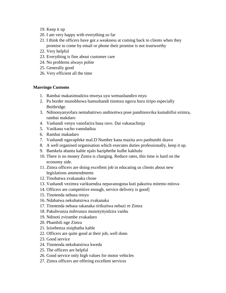- 19. Keep it up
- 20. I am very happy with everything so far
- 21. I think the officers have got a weakness at coming back to clients when they promise to come by email or phone their promise is not trustworthy
- 22. Very helpful
- 23. Everything is fine about customer care
- 24. No problems always polite
- 25. Generally good
- 26. Very efficient all the time

#### **Masvingo Customs**

- 1. Rambai makasimudzira mweya uyu wemashandiro enyu
- 2. Pa border munobhowa hamushandi tinotora nguva huru tiripo especially Beitbridge.
- 3. Ndinonyanyofara nemabatirwo andinoitwa pose pandinosvika kumahifisi ezimra, rambai makdaro
- 4. Vashandi venyu vanofarira basa ravo. Dai vakasachinja
- 5. Vasikana vacho vanodadisa
- 6. Rambai makadaro
- 7. Vashandi ngavapfeke maI.D Number kana mazita avo panhumbi dzavo
- 8. A well organised organisation which executes duties professionally, keep it up.
- 9. Bamkela abantu kahle njalo baziphethe kulhe kakhulu
- 10. There is no money Zimra is charging. Reduce rates, this time is hard on the economy side.
- 11. Zimra officers are doing excellent job in educating us clients about new legislations ammendments
- 12. Tinobatwa zvakanaka chose
- 13. Vashandi vezimra varikuendza nepavanogona kuti pakurira mitemo mitsva
- 14. Officers are competitive enough, service delivery is good]
- 15. Tinotenda nebasa renyu
- 16. Ndabatwa nekubatsirwa zvakanaka
- 17. Tinotenda nebasa rakanaka ririkuitwa nebazi re Zimra
- 18. Pakubvunza mibvunzo munotyityidzira vanhu
- 19. Ndinoti zvirambe zvakadaro
- 20. Phambili nge Zimra
- 21. Izisebenza zisiphatha kahle
- 22. Officers are quite good at their job, well done.
- 23. Good service
- 24. Tinotenda nekubatsirwa kwedu
- 25. The officers are helpful
- 26. Good service only high values for motor vehicles
- 27. Zimra officers are offering excellent services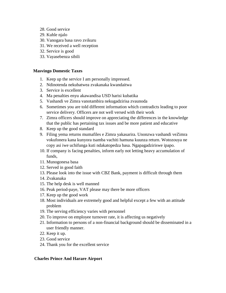- 28. Good service
- 29. Kuhle njalo
- 30. Vanogara basa ravo zvikuru
- 31. We received a well reception
- 32. Service is good
- 33. Vayasebenza sibili

#### **Masvingo Domestic Taxes**

- 1. Keep up the service I am personally impressed.
- 2. Ndinotenda nekubatwea zvakanaka kwandaitwa
- 3. Service is excellent
- 4. Ma penalties enyu akawandisa USD harisi kubatika
- 5. Vashandi ve Zimra vanotambira nekugadzirisa zvaunoda
- 6. Sometimes you are told different information which contradicts leading to poor service delivery. Officers are not well versed with their work
- 7. Zimra officers should improve on appreciating the differences in the knowledge that the public has pertaining tax issues and be more patient and educative
- 8. Keep up the good standard
- 9. Filing yema returns mumafiles e Zimra yakasarira. Unonzwa vashandi veZimra vokufonera kana kunyora tsamba vachiti hamuna kuunza return. Wotozouya ne copy asi iwe uchifunga kuti ndakatopedza basa. Ngapagadziriswe ipapo.
- 10. If company is facing penalties, inform early not letting heavy accumulation of funds,
- 11. Munogonesa basa
- 12. Served in good faith
- 13. Please look into the issue with CBZ Bank, payment is difficult through them
- 14. Zvakanaka
- 15. The help desk is well manned
- 16. Peak period-paye, VAT please may there be more officers
- 17. Keep up the good work
- 18. Most individuals are extremely good and helpful except a few with an attitude problem
- 19. The serving efficiency varies with personnel
- 20. To improve on employee turnover rate, it is affecting us negatively
- 21. Information to persons of a non-financial background should be disseminated in a user friendly manner.
- 22. Keep it up.
- 23. Good service
- 24. Thank you for the excellent service

#### **Charles Prince And Harare Airport**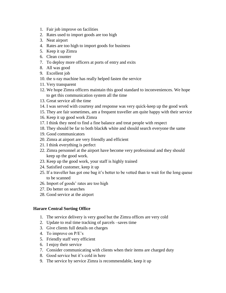- 1. Fair job improve on facilities
- 2. Rates used to import goods are too high
- 3. Neat airport
- 4. Rates are too high to import goods for business
- 5. Keep it up Zimra
- 6. Clean counter
- 7. To deploy more officers at ports of entry and exits
- 8. All was good
- 9. Excellent job
- 10. the x-ray machine has really helped fasten the service
- 11. Very transparent
- 12. We hope Zimra officers maintain this good standard to inconveniences. We hope to get this communication system all the time
- 13. Great service all the time
- 14. I was served with courtesy and response was very quick-keep up the good work
- 15. They are fair sometimes, am a frequent traveller am quite happy with their service
- 16. Keep it up good work Zimra
- 17. I think they need to find a fine balance and treat people with respect
- 18. They should be far to both black& white and should search everyone the same
- 19. Good communicators
- 20. Zimra at airport are very friendly and efficient
- 21. I think everything is perfect
- 22. Zimra personnel at the airport have become very professional and they should keep up the good work.
- 23. Keep up the good work, your staff is highly trained
- 24. Satisfied customer, keep it up
- 25. If a traveller has got one bag it's better to be vetted than to wait for the long queue to be scanned
- 26. Import of goods' rates are too high
- 27. Do better on searches
- 28. Good service at the airport

# **Harare Central Sorting Office**

- 1. The service delivery is very good but the Zimra offices are very cold
- 2. Update to real time tracking of parcels –saves time
- 3. Give clients full details on charges
- 4. To improve on P/E's
- 5. Friendly staff very efficient
- 6. I enjoy their service
- 7. Consider communicating with clients when their items are charged duty
- 8. Good service but it's cold in here
- 9. The service by service Zimra is recommendable, keep it up